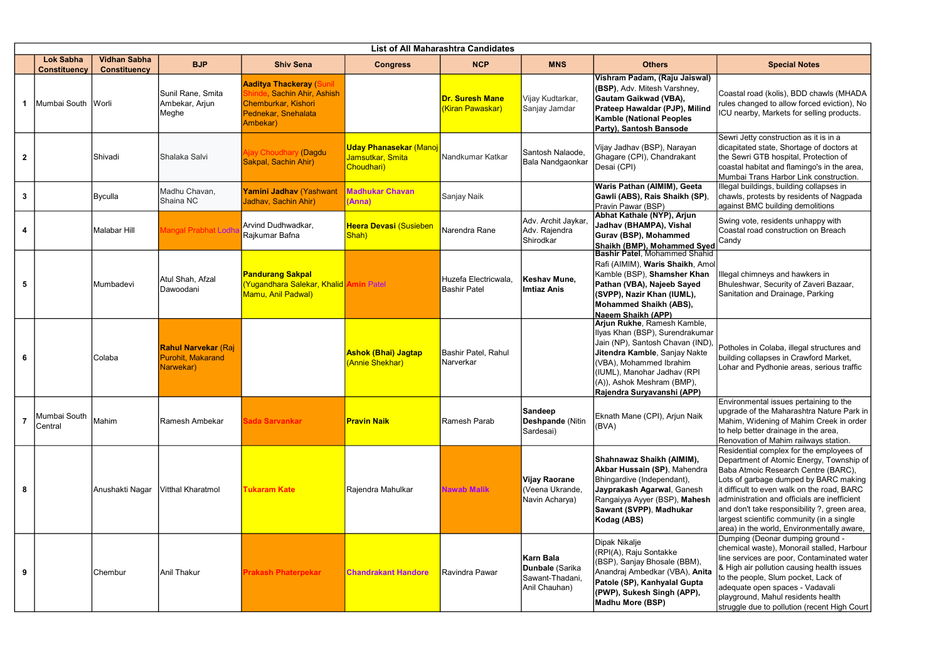|              | <b>List of All Maharashtra Candidates</b> |                                            |                                                              |                                                                                                                         |                                                                 |                                             |                                                                  |                                                                                                                                                                                                                                                           |                                                                                                                                                                                                                                                                                                        |
|--------------|-------------------------------------------|--------------------------------------------|--------------------------------------------------------------|-------------------------------------------------------------------------------------------------------------------------|-----------------------------------------------------------------|---------------------------------------------|------------------------------------------------------------------|-----------------------------------------------------------------------------------------------------------------------------------------------------------------------------------------------------------------------------------------------------------|--------------------------------------------------------------------------------------------------------------------------------------------------------------------------------------------------------------------------------------------------------------------------------------------------------|
|              | <b>Lok Sabha</b><br><b>Constituency</b>   | <b>Vidhan Sabha</b><br><b>Constituency</b> | <b>BJP</b>                                                   | <b>Shiv Sena</b>                                                                                                        | <b>Congress</b>                                                 | <b>NCP</b>                                  | <b>MNS</b>                                                       | <b>Others</b>                                                                                                                                                                                                                                             | <b>Special Notes</b>                                                                                                                                                                                                                                                                                   |
|              | Mumbai South Worli                        |                                            | Sunil Rane, Smita<br>Ambekar, Arjun<br>Meghe                 | <b>Aaditya Thackeray (Sunil</b><br>hinde, Sachin Ahir, Ashish<br>Chemburkar, Kishori<br>Pednekar, Snehalata<br>Ambekar) |                                                                 | <b>Dr. Suresh Mane</b><br>(Kiran Pawaskar)  | Vijay Kudtarkar,<br>Sanjay Jamdar                                | Vishram Padam, (Raju Jaiswal)<br>(BSP), Adv. Mitesh Varshney,<br>Gautam Gaikwad (VBA),<br>Prateep Hawaldar (PJP), Milind<br><b>Kamble (National Peoples)</b><br>Party), Santosh Bansode                                                                   | Coastal road (kolis), BDD cha<br>rules changed to allow forced<br>ICU nearby, Markets for sellir                                                                                                                                                                                                       |
| $\mathbf{2}$ |                                           | Shivadi                                    | Shalaka Salvi                                                | Ajay Choudhary (Dagdu<br>Sakpal, Sachin Ahir)                                                                           | <b>Uday Phanasekar (Manoj</b><br>Jamsutkar, Smita<br>Choudhari) | Nandkumar Katkar                            | Santosh Nalaode,<br>Bala Nandgaonkar                             | Vijay Jadhav (BSP), Narayan<br>Ghagare (CPI), Chandrakant<br>Desai (CPI)                                                                                                                                                                                  | Sewri Jetty construction as it<br>dicapitated state, Shortage of<br>the Sewri GTB hospital, Prote<br>coastal habitat and flamingo's<br>Mumbai Trans Harbor Link co                                                                                                                                     |
| $\mathbf{3}$ |                                           | Byculla                                    | Madhu Chavan,<br>Shaina NC                                   | Yamini Jadhav (Yashwant<br>Jadhav, Sachin Ahir)                                                                         | <b>Madhukar Chavan</b><br>(Anna)                                | Sanjay Naik                                 |                                                                  | Waris Pathan (AIMIM), Geeta<br>Gawli (ABS), Rais Shaikh (SP),<br>Pravin Pawar (BSP)                                                                                                                                                                       | Illegal buildings, building colla<br>chawls, protests by residents<br>against BMC building demolit                                                                                                                                                                                                     |
| 4            |                                           | <b>Malabar Hill</b>                        | Mangal Prabhat Lodh                                          | Arvind Dudhwadkar,<br>Rajkumar Bafna                                                                                    | <b>Heera Devasi (Susieben</b><br>Shah)                          | Narendra Rane                               | Adv. Archit Jaykar<br>Adv. Rajendra<br>Shirodkar                 | Abhat Kathale (NYP), Arjun<br>Jadhav (BHAMPA), Vishal<br>Gurav (BSP), Mohammed<br>Shaikh (BMP), Mohammed Syed                                                                                                                                             | Swing vote, residents unhapp<br>Coastal road construction on<br>Candy                                                                                                                                                                                                                                  |
| 5            |                                           | Mumbadevi                                  | Atul Shah, Afzal<br>Dawoodani                                | <b>Pandurang Sakpal</b><br><u>(Yugandhara Salekar, Khalid Amin Patell</u><br>Mamu, Anil Padwal)                         |                                                                 | Huzefa Electricwala,<br><b>Bashir Patel</b> | Keshav Mune,<br><b>Imtiaz Anis</b>                               | <b>Bashir Patel, Mohammed Shahid</b><br>Rafi (AIMIM), Waris Shaikh, Amol<br>Kamble (BSP), Shamsher Khan<br>Pathan (VBA), Najeeb Sayed<br>(SVPP), Nazir Khan (IUML),<br><b>Mohammed Shaikh (ABS),</b><br>Naeem Shaikh (APP)                                | Illegal chimneys and hawkers<br>Bhuleshwar, Security of Zave<br>Sanitation and Drainage, Parl                                                                                                                                                                                                          |
| 6            |                                           | Colaba                                     | <b>Rahul Narvekar (Raj</b><br>Purohit, Makarand<br>Narwekar) |                                                                                                                         | <b>Ashok (Bhai) Jagtap</b><br>(Annie Shekhar)                   | Bashir Patel, Rahul<br>Narverkar            |                                                                  | Arjun Rukhe, Ramesh Kamble,<br>Ilyas Khan (BSP), Surendrakumar<br>Jain (NP), Santosh Chavan (IND),<br>Jitendra Kamble, Sanjay Nakte<br>(VBA), Mohammed Ibrahim<br>(IUML), Manohar Jadhav (RPI<br>(A)), Ashok Meshram (BMP),<br>Rajendra Suryavanshi (APP) | Potholes in Colaba, illegal stri<br>building collapses in Crawford<br>Lohar and Pydhonie areas, se                                                                                                                                                                                                     |
|              | Mumbai South<br>Central                   | Mahim                                      | Ramesh Ambekar                                               | Sada Sarvankar                                                                                                          | <b>Pravin Naik</b>                                              | Ramesh Parab                                | <b>Sandeep</b><br><b>Deshpande</b> (Nitin<br>Sardesai)           | Eknath Mane (CPI), Arjun Naik<br>(BVA)                                                                                                                                                                                                                    | Environmental issues pertain<br>upgrade of the Maharashtra N<br>Mahim, Widening of Mahim C<br>to help better drainage in the<br>Renovation of Mahim railway                                                                                                                                            |
| 8            |                                           | Anushakti Nagar                            | Vitthal Kharatmol                                            | <b>Tukaram Kate</b>                                                                                                     | Rajendra Mahulkar                                               | <b>Nawab Malik</b>                          | <b>Vijay Raorane</b><br>(Veena Ukrande,<br>Navin Acharya)        | Shahnawaz Shaikh (AIMIM),<br><b>Akbar Hussain (SP)</b> , Mahendra<br>Bhingardive (Independant),<br>Jayprakash Agarwal, Ganesh<br>Rangaiyya Ayyer (BSP), Mahesh<br>Sawant (SVPP), Madhukar<br>Kodag (ABS)                                                  | Residential complex for the e<br>Department of Atomic Energy<br>Baba Atmoic Research Centr<br>Lots of garbage dumped by B<br>it difficult to even walk on the<br>administration and officials ar<br>and don't take responsibility?<br>largest scientific community (i<br>area) in the world, Environme |
| 9            |                                           | Chembur                                    | <b>Anil Thakur</b>                                           | <b>Prakash Phaterpekar</b>                                                                                              | <b>Chandrakant Handore</b>                                      | Ravindra Pawar                              | Karn Bala<br>Dunbale (Sarika<br>Sawant-Thadani,<br>Anil Chauhan) | Dipak Nikalje<br>(RPI(A), Raju Sontakke<br>(BSP), Sanjay Bhosale (BBM),<br>Anandraj Ambedkar (VBA), Anita<br>Patole (SP), Kanhyalal Gupta<br>(PWP), Sukesh Singh (APP),<br><b>Madhu More (BSP)</b>                                                        | Dumping (Deonar dumping gi<br>chemical waste), Monorail sta<br>line services are poor, Contar<br>& High air pollution causing h<br>to the people, Slum pocket, L<br>adequate open spaces - Vada <br>playground, Mahul residents I<br>struggle due to pollution (rece                                   |

|                       | <b>Special Notes</b>                                                                                                                                                                                                                                                                                                                                                                                           |
|-----------------------|----------------------------------------------------------------------------------------------------------------------------------------------------------------------------------------------------------------------------------------------------------------------------------------------------------------------------------------------------------------------------------------------------------------|
|                       | Coastal road (kolis), BDD chawls (MHADA<br>rules changed to allow forced eviction), No<br>ICU nearby, Markets for selling products.                                                                                                                                                                                                                                                                            |
|                       | Sewri Jetty construction as it is in a<br>dicapitated state, Shortage of doctors at<br>the Sewri GTB hospital, Protection of<br>coastal habitat and flamingo's in the area,<br>Mumbai Trans Harbor Link construction.                                                                                                                                                                                          |
|                       | Illegal buildings, building collapses in<br>chawls, protests by residents of Nagpada<br>against BMC building demolitions                                                                                                                                                                                                                                                                                       |
| e <mark>d</mark><br>d | Swing vote, residents unhappy with<br>Coastal road construction on Breach<br>Candy                                                                                                                                                                                                                                                                                                                             |
| ol                    | Illegal chimneys and hawkers in<br>Bhuleshwar, Security of Zaveri Bazaar,<br>Sanitation and Drainage, Parking                                                                                                                                                                                                                                                                                                  |
| ιr<br>),              | Potholes in Colaba, illegal structures and<br>building collapses in Crawford Market,<br>Lohar and Pydhonie areas, serious traffic                                                                                                                                                                                                                                                                              |
|                       | Environmental issues pertaining to the<br>upgrade of the Maharashtra Nature Park in<br>Mahim, Widening of Mahim Creek in order<br>to help better drainage in the area,<br>Renovation of Mahim railways station.                                                                                                                                                                                                |
|                       | Residential complex for the employees of<br>Department of Atomic Energy, Township of<br>Baba Atmoic Research Centre (BARC),<br>Lots of garbage dumped by BARC making<br>it difficult to even walk on the road, BARC<br>administration and officials are inefficient<br>and don't take responsibility ?, green area,<br>largest scientific community (in a single<br>area) in the world, Environmentally aware, |
| E                     | Dumping (Deonar dumping ground -<br>chemical waste), Monorail stalled, Harbour<br>line services are poor, Contaminated water<br>& High air pollution causing health issues<br>to the people, Slum pocket, Lack of<br>adequate open spaces - Vadavali<br>playground, Mahul residents health<br>struggle due to pollution (recent High Court                                                                     |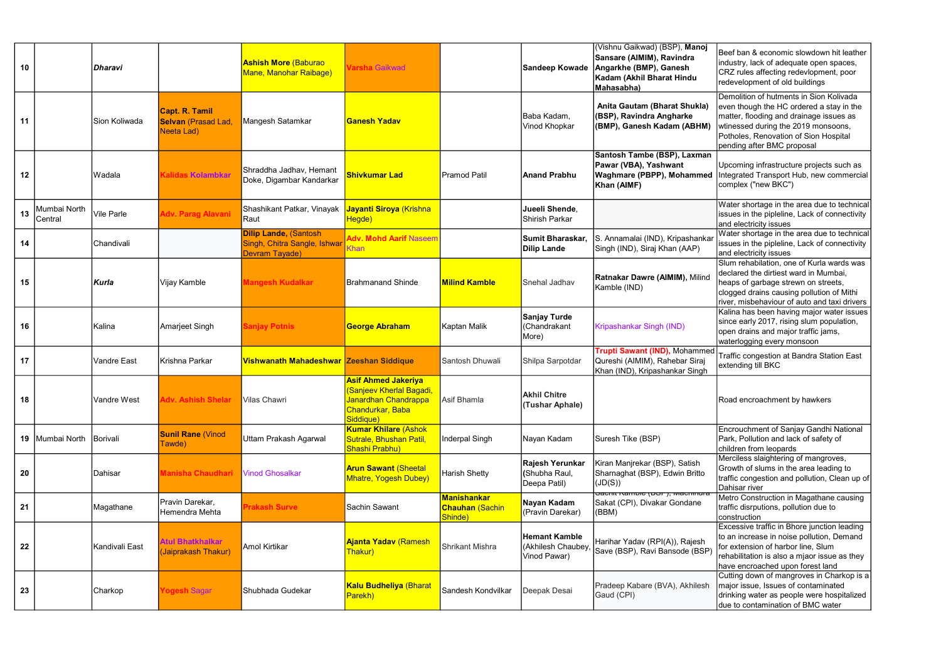| 10 |                         | Dharavi           |                                                                  | <b>Ashish More (Baburao</b><br>Mane, Manohar Raibage)                          | Varsha Gaikwad                                                                                                  |                                                         | Sandeep Kowade                                             | (Vishnu Gaikwad) (BSP), Manoj<br>Sansare (AIMIM), Ravindra<br>Angarkhe (BMP), Ganesh<br>Kadam (Akhil Bharat Hindu<br>Mahasabha) | Beef ban & economic slowdown hit leather<br>industry, lack of adequate open spaces,<br>CRZ rules affecting redevlopment, poor<br>redevelopment of old buildings                                                                              |
|----|-------------------------|-------------------|------------------------------------------------------------------|--------------------------------------------------------------------------------|-----------------------------------------------------------------------------------------------------------------|---------------------------------------------------------|------------------------------------------------------------|---------------------------------------------------------------------------------------------------------------------------------|----------------------------------------------------------------------------------------------------------------------------------------------------------------------------------------------------------------------------------------------|
| 11 |                         | Sion Koliwada     | <b>Capt. R. Tamil</b><br><b>Selvan (Prasad Lad</b><br>Neeta Lad) | Mangesh Satamkar                                                               | <b>Ganesh Yadav</b>                                                                                             |                                                         | Baba Kadam,<br>Vinod Khopkar                               | Anita Gautam (Bharat Shukla)<br>(BSP), Ravindra Angharke<br>(BMP), Ganesh Kadam (ABHM)                                          | Demolition of hutments in Sion Kolivada<br>even though the HC ordered a stay in the<br>matter, flooding and drainage issues as<br>wtinessed during the 2019 monsoons,<br>Potholes, Renovation of Sion Hospital<br>pending after BMC proposal |
| 12 |                         | Wadala            | Kalidas Kolambkar                                                | Shraddha Jadhav, Hemant<br>Doke, Digambar Kandarkar                            | <b>Shivkumar Lad</b>                                                                                            | <b>Pramod Patil</b>                                     | Anand Prabhu                                               | Santosh Tambe (BSP), Laxman<br>Pawar (VBA), Yashwant<br>Waghmare (PBPP), Mohammed<br>Khan (AIMF)                                | Upcoming infrastructure projects such as<br>Integrated Transport Hub, new commercial<br>complex ("new BKC")                                                                                                                                  |
| 13 | Mumbai North<br>Central | <b>Vile Parle</b> | <b>Adv. Parag Alavani</b>                                        | Shashikant Patkar, Vinayak<br>Raut                                             | Jayanti Siroya (Krishna<br>Hegde)                                                                               |                                                         | Jueeli Shende,<br>Shirish Parkar                           |                                                                                                                                 | Water shortage in the area due to technical<br>issues in the pipleline, Lack of connectivity<br>and electricity issues                                                                                                                       |
| 14 |                         | Chandivali        |                                                                  | <b>Dilip Lande, (Santosh</b><br>Singh, Chitra Sangle, Ishwar<br>Devram Tayade) | <b>Adv. Mohd Aarif Naseem</b><br>Khan                                                                           |                                                         | Sumit Bharaskar,<br><b>Dilip Lande</b>                     | S. Annamalai (IND), Kripashankar<br>Singh (IND), Siraj Khan (AAP)                                                               | Water shortage in the area due to technical<br>issues in the pipleline, Lack of connectivity<br>and electricity issues                                                                                                                       |
| 15 |                         | Kurla             | Vijay Kamble                                                     | <b>Mangesh Kudalkar</b>                                                        | <b>Brahmanand Shinde</b>                                                                                        | <b>Milind Kamble</b>                                    | Snehal Jadhav                                              | Ratnakar Dawre (AIMIM), Milind<br>Kamble (IND)                                                                                  | Slum rehabilation, one of Kurla wards was<br>declared the dirtiest ward in Mumbai,<br>heaps of garbage strewn on streets,<br>clogged drains causing pollution of Mithi<br>river, misbehaviour of auto and taxi drivers                       |
| 16 |                         | Kalina            | Amarjeet Singh                                                   | <b>Sanjay Potnis</b>                                                           | <b>George Abraham</b>                                                                                           | Kaptan Malik                                            | <b>Sanjay Turde</b><br>(Chandrakant<br>More)               | Kripashankar Singh (IND)                                                                                                        | Kalina has been having major water issues<br>since early 2017, rising slum population,<br>open drains and major traffic jams,<br>waterlogging every monsoon                                                                                  |
| 17 |                         | Vandre East       | Krishna Parkar                                                   | Vishwanath Mahadeshwar Zeeshan Siddique                                        |                                                                                                                 | Santosh Dhuwali                                         | Shilpa Sarpotdar                                           | Trupti Sawant (IND), Mohammed<br>Qureshi (AIMIM), Rahebar Siraj<br>Khan (IND), Kripashankar Singh                               | Traffic congestion at Bandra Station East<br>extending till BKC                                                                                                                                                                              |
| 18 |                         | Vandre West       | <b>dv. Ashish Shelar</b>                                         | Vilas Chawri                                                                   | <b>Asif Ahmed Jakeriya</b><br>(Sanjeev Kherlal Bagadi,<br>Janardhan Chandrappa<br>Chandurkar, Baba<br>Siddique) | Asif Bhamla                                             | <b>Akhil Chitre</b><br>(Tushar Aphale)                     |                                                                                                                                 | Road encroachment by hawkers                                                                                                                                                                                                                 |
|    | 19   Mumbai North       | Borivali          | <b>Sunil Rane (Vinod</b><br>Tawde)                               | Uttam Prakash Agarwal                                                          | <b>Kumar Khilare (Ashok</b><br>Sutrale, Bhushan Patil,<br>Shashi Prabhu)                                        | Inderpal Singh                                          | Nayan Kadam                                                | Suresh Tike (BSP)                                                                                                               | Encrouchment of Sanjay Gandhi National<br>Park, Pollution and lack of safety of<br>children from leopards                                                                                                                                    |
| 20 |                         | Dahisar           | Manisha Chaudhari                                                | <b>Vinod Ghosalkar</b>                                                         | <b>Arun Sawant (Sheetal</b><br><b>Mhatre, Yogesh Dubey)</b>                                                     | <b>Harish Shetty</b>                                    | Rajesh Yerunkar<br>(Shubha Raul,<br>Deepa Patil)           | Kiran Manjrekar (BSP), Satish<br>Sharnaghat (BSP), Edwin Britto<br>$(\mathsf{JD}(\mathsf{S}))$                                  | Merciless slaightering of mangroves,<br>Growth of slums in the area leading to<br>traffic congestion and pollution, Clean up of<br>Dahisar river                                                                                             |
| 21 |                         | Magathane         | Pravin Darekar,<br>Hemendra Mehta                                | <b>Prakash Surve</b>                                                           | Sachin Sawant                                                                                                   | <b>Manishankar</b><br><b>Chauhan</b> (Sachin<br>Shinde) | Nayan Kadam<br>(Pravin Darekar)                            | <del>סמטווו Rample (סטן ), wacmmura</del><br>Sakat (CPI), Divakar Gondane<br>(BBM)                                              | Metro Construction in Magathane causing<br>traffic disrputions, pollution due to<br>construction                                                                                                                                             |
| 22 |                         | Kandivali East    | <b>Atul Bhatkhalkar</b><br>(Jaiprakash Thakur)                   | Amol Kirtikar                                                                  | <b>Ajanta Yadav (Ramesh</b><br>Thakur)                                                                          | <b>Shrikant Mishra</b>                                  | <b>Hemant Kamble</b><br>(Akhilesh Chaubey,<br>Vinod Pawar) | Harihar Yadav (RPI(A)), Rajesh<br>Save (BSP), Ravi Bansode (BSP)                                                                | Excessive traffic in Bhore junction leading<br>to an increase in noise pollution, Demand<br>for extension of harbor line, Slum<br>rehabilitation is also a mjaor issue as they<br>have encroached upon forest land                           |
| 23 |                         | Charkop           | Yogesh Sagar                                                     | Shubhada Gudekar                                                               | <b>Kalu Budheliya (Bharat</b><br>Parekh)                                                                        | Sandesh Kondvilkar                                      | Deepak Desai                                               | Pradeep Kabare (BVA), Akhilesh<br>Gaud (CPI)                                                                                    | Cutting down of mangroves in Charkop is a<br>major issue, Issues of contaminated<br>drinking water as people were hospitalized<br>due to contamination of BMC water                                                                          |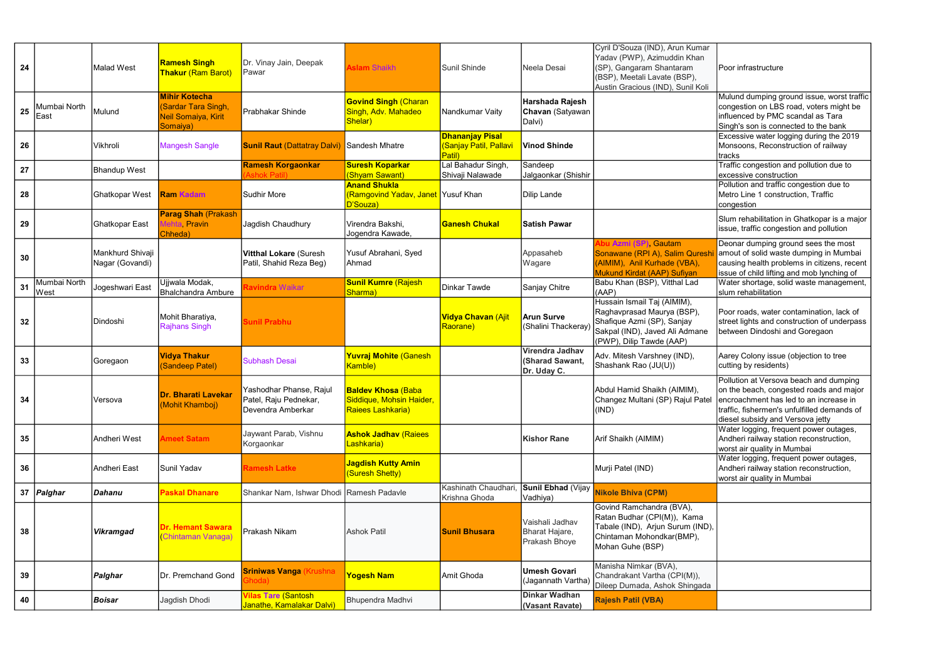| 24 |                       | <b>Malad West</b>                   | <b>Ramesh Singh</b><br><b>Thakur (Ram Barot)</b>                                     | Dr. Vinay Jain, Deepak<br>Pawar                                       | <b>Aslam Shaikh</b>                                                         | Sunil Shinde                                                     | Neela Desai                                        | Cyril D'Souza (IND), Arun Kumar<br>Yadav (PWP), Azimuddin Khan<br>(SP), Gangaram Shantaram<br>(BSP), Meetali Lavate (BSP),<br>Austin Gracious (IND), Sunil Koli | Poor infrastructure                                                                                                                                                                                                                               |
|----|-----------------------|-------------------------------------|--------------------------------------------------------------------------------------|-----------------------------------------------------------------------|-----------------------------------------------------------------------------|------------------------------------------------------------------|----------------------------------------------------|-----------------------------------------------------------------------------------------------------------------------------------------------------------------|---------------------------------------------------------------------------------------------------------------------------------------------------------------------------------------------------------------------------------------------------|
| 25 | Mumbai North<br> East | Mulund                              | <b>Mihir Kotecha</b><br><b>Sardar Tara Singh,</b><br>Neil Somaiya, Kirit<br>Somaiya) | Prabhakar Shinde                                                      | <b>Govind Singh (Charan</b><br>Singh, Adv. Mahadeo<br>Shelar)               | Nandkumar Vaity                                                  | Harshada Rajesh<br>Chavan (Satyawan<br>Dalvi)      |                                                                                                                                                                 | Mulund dumping ground issue, worst traffic<br>congestion on LBS road, voters might be<br>influenced by PMC scandal as Tara<br>Singh's son is connected to the bank                                                                                |
| 26 |                       | Vikhroli                            | <b>Mangesh Sangle</b>                                                                | <b>Sunil Raut (Dattatray Dalvi)</b>                                   | Sandesh Mhatre                                                              | <b>Dhananjay Pisal</b><br>(Sanjay Patil, Pallavi<br><b>Patil</b> | <b>Vinod Shinde</b>                                |                                                                                                                                                                 | Excessive water logging during the 2019<br>Monsoons, Reconstruction of railway<br>tracks                                                                                                                                                          |
| 27 |                       | <b>Bhandup West</b>                 |                                                                                      | <b>Ramesh Korgaonkar</b>                                              | <b>Suresh Koparkar</b><br>(Shyam Sawant)                                    | Lal Bahadur Singh<br>Shivaji Nalawade                            | Sandeep<br>Jalgaonkar (Shishir                     |                                                                                                                                                                 | Traffic congestion and pollution due to<br>excessive construction                                                                                                                                                                                 |
| 28 |                       | <b>Ghatkopar West</b>               | <b>Ram Kadam</b>                                                                     | <b>Sudhir More</b>                                                    | <b>Anand Shukla</b><br><b>Ramgovind Yadav, Janet</b> Yusuf Khan<br>D'Souza) |                                                                  | Dilip Lande                                        |                                                                                                                                                                 | Pollution and traffic congestion due to<br>Metro Line 1 construction, Traffic<br>congestion                                                                                                                                                       |
| 29 |                       | <b>Ghatkopar East</b>               | <b>Parag Shah (Prakash</b><br>Mehta, Pravin<br>Chheda)                               | Jagdish Chaudhury                                                     | Virendra Bakshi,<br>Jogendra Kawade,                                        | <b>Ganesh Chukal</b>                                             | <b>Satish Pawar</b>                                |                                                                                                                                                                 | Slum rehabilitation in Ghatkopar is a major<br>issue, traffic congestion and pollution                                                                                                                                                            |
| 30 |                       | Mankhurd Shivaji<br>Nagar (Govandi) |                                                                                      | <b>Vitthal Lokare (Suresh</b><br>Patil, Shahid Reza Beg)              | Yusuf Abrahani, Syed<br>Ahmad                                               |                                                                  | Appasaheb<br>Wagare                                | bu Azmi (SP), Gautam<br>Sonawane (RPI A), Salim Quresh<br>(AIMIM), Anil Kurhade (VBA),<br>Mukund Kirdat (AAP) Sufiyan                                           | Deonar dumping ground sees the most<br>amout of solid waste dumping in Mumbai<br>causing health problems in citizens, recent  <br>issue of child lifting and mob lynching of                                                                      |
| 31 | Mumbai North<br>West  | Jogeshwari East                     | Ujjwala Modak,<br><b>Bhalchandra Ambure</b>                                          | avindra Waikar                                                        | <b>Sunil Kumre (Rajesh</b><br>Sharma)                                       | Dinkar Tawde                                                     | Sanjay Chitre                                      | Babu Khan (BSP), Vitthal Lad<br>(AAP)                                                                                                                           | Water shortage, solid waste management,<br>slum rehabilitation                                                                                                                                                                                    |
| 32 |                       | Dindoshi                            | Mohit Bharatiya,<br><b>Rajhans Singh</b>                                             | <b>Sunil Prabhu</b>                                                   |                                                                             | <b>Vidya Chavan (Ajit</b><br>Raorane)                            | <b>Arun Surve</b><br>(Shalini Thackeray)           | Hussain Ismail Taj (AIMIM),<br>Raghavprasad Maurya (BSP),<br>Shafique Azmi (SP), Sanjay<br>Sakpal (IND), Javed Ali Admane<br>(PWP), Dilip Tawde (AAP)           | Poor roads, water contamination, lack of<br>street lights and construction of underpass<br>between Dindoshi and Goregaon                                                                                                                          |
| 33 |                       | Goregaon                            | <b>Vidya Thakur</b><br>(Sandeep Patel)                                               | <b>Subhash Desai</b>                                                  | <b>Yuvraj Mohite (Ganesh</b><br>Kamble)                                     |                                                                  | Virendra Jadhav<br>(Sharad Sawant,<br>Dr. Uday C.  | Adv. Mitesh Varshney (IND),<br>Shashank Rao (JU(U))                                                                                                             | Aarey Colony issue (objection to tree<br>cutting by residents)                                                                                                                                                                                    |
| 34 |                       | Versova                             | Dr. Bharati Lavekar<br>(Mohit Khamboj)                                               | Yashodhar Phanse, Rajul<br>Patel, Raju Pednekar,<br>Devendra Amberkar | <b>Baldev Khosa (Baba</b><br>Siddique, Mohsin Haider,<br>Raiees Lashkaria)  |                                                                  |                                                    | Abdul Hamid Shaikh (AIMIM),<br>(IND)                                                                                                                            | Pollution at Versova beach and dumping<br>on the beach, congested roads and major<br>Changez Multani (SP) Rajul Patel   encroachment has led to an increase in<br>traffic, fishermen's unfulfilled demands of<br>diesel subsidy and Versova jetty |
| 35 |                       | Andheri West                        | <b>Ameet Satam</b>                                                                   | Jaywant Parab, Vishnu<br>Korgaonkar                                   | <b>Ashok Jadhav (Raiees</b><br>Lashkaria)                                   |                                                                  | <b>Kishor Rane</b>                                 | Arif Shaikh (AIMIM)                                                                                                                                             | Water logging, frequent power outages,<br>Andheri railway station reconstruction,<br>worst air quality in Mumbai                                                                                                                                  |
| 36 |                       | Andheri East                        | Sunil Yadav                                                                          | <b>Ramesh Latke</b>                                                   | <b>Jagdish Kutty Amin</b><br>(Suresh Shetty)                                |                                                                  |                                                    | Murji Patel (IND)                                                                                                                                               | Water logging, frequent power outages,<br>Andheri railway station reconstruction,<br>worst air quality in Mumbai                                                                                                                                  |
| 37 | Palghar               | Dahanu                              | <b>Paskal Dhanare</b>                                                                | Shankar Nam, Ishwar Dhodi Ramesh Padavle                              |                                                                             | Kashinath Chaudhari<br>Krishna Ghoda                             | Sunil Ebhad (Vijay<br>Vadhiya)                     | <b>Nikole Bhiva (CPM)</b>                                                                                                                                       |                                                                                                                                                                                                                                                   |
| 38 |                       | <b>Vikramgad</b>                    | <b>Dr. Hemant Sawara</b><br>(Chintaman Vanaga)                                       | Prakash Nikam                                                         | <b>Ashok Patil</b>                                                          | <b>Sunil Bhusara</b>                                             | Vaishali Jadhav<br>Bharat Hajare,<br>Prakash Bhoye | Govind Ramchandra (BVA),<br>Ratan Budhar (CPI(M)), Kama<br>Tabale (IND), Arjun Surum (IND),<br>Chintaman Mohondkar(BMP),<br>Mohan Guhe (BSP)                    |                                                                                                                                                                                                                                                   |
| 39 |                       | <b>Palghar</b>                      | Dr. Premchand Gond                                                                   | <b>Sriniwas Vanga (Krushna)</b>                                       | Yogesh Nam                                                                  | Amit Ghoda                                                       | <b>Umesh Govari</b><br>(Jagannath Vartha)          | Manisha Nimkar (BVA),<br>Chandrakant Vartha (CPI(M)),<br>Dileep Dumada, Ashok Shingada                                                                          |                                                                                                                                                                                                                                                   |
| 40 |                       | <b>Boisar</b>                       | Jagdish Dhodi                                                                        | <b>Vilas Tare (Santosh</b><br><mark>Janathe, Kamalakar Dalvi)</mark>  | Bhupendra Madhvi                                                            |                                                                  | <b>Dinkar Wadhan</b><br>(Vasant Ravate)            | <b>Rajesh Patil (VBA)</b>                                                                                                                                       |                                                                                                                                                                                                                                                   |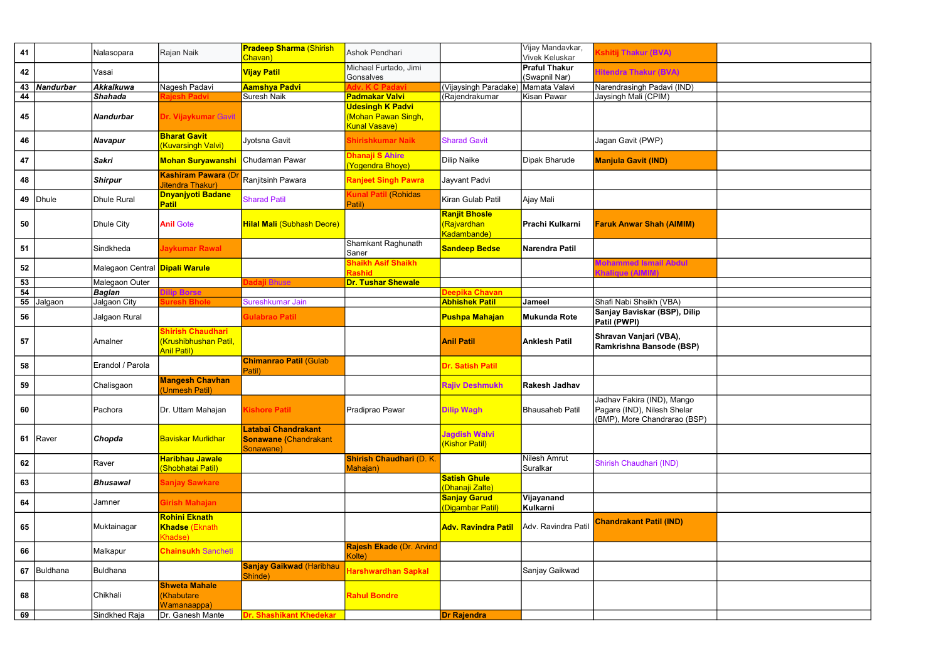| 41 |                  | Nalasopara                            | Rajan Naik                                               | <b>Pradeep Sharma (Shirish</b><br>Chavan)                        | Ashok Pendhari                                                         |                                                          | Vijay Mandavkar,<br><b>Vivek Keluskar</b> | <b>(shitij Thakur (BVA)</b>                                                               |
|----|------------------|---------------------------------------|----------------------------------------------------------|------------------------------------------------------------------|------------------------------------------------------------------------|----------------------------------------------------------|-------------------------------------------|-------------------------------------------------------------------------------------------|
| 42 |                  | Vasai                                 |                                                          | <b>Vijay Patil</b>                                               | Michael Furtado, Jimi<br>Gonsalves                                     |                                                          | <b>Praful Thakur</b><br>(Swapnil Nar)     | Hitendra Thakur (BVA)                                                                     |
| 43 | <b>Nandurbar</b> | Akkalkuwa                             | Nagesh Padavi                                            | <b>Aamshya Padvi</b>                                             | <b>C Padavi</b>                                                        | (Vijaysingh Paradake)                                    | Mamata Valavi                             | Narendrasingh Padavi (IND)                                                                |
| 44 |                  | <b>Shahada</b>                        | jesh Padvi                                               | Suresh Naik                                                      | <b>Padmakar Valvi</b>                                                  | (Rajendrakumar                                           | Kisan Pawar                               | Jaysingh Mali (CPIM)                                                                      |
| 45 |                  | Nandurbar                             | Dr. Vijaykumar Gavit                                     |                                                                  | <b>Udesingh K Padvi</b><br>(Mohan Pawan Singh,<br><b>Kunal Vasave)</b> |                                                          |                                           |                                                                                           |
| 46 |                  | Navapur                               | <b>Bharat Gavit</b><br><b>Kuvarsingh Valvi)</b>          | Jyotsna Gavit                                                    | Shirishkumar Naik                                                      | <b>Sharad Gavit</b>                                      |                                           | Jagan Gavit (PWP)                                                                         |
| 47 |                  | Sakri                                 | <b>Mohan Suryawanshi</b>                                 | Chudaman Pawar                                                   | Dhanaji S Ahire<br>(Yogendra Bhoye)                                    | Dilip Naike                                              | Dipak Bharude                             | <b>Manjula Gavit (IND)</b>                                                                |
| 48 |                  | <b>Shirpur</b>                        | <b>Kashiram Pawara (D)</b><br>Jitendra Thakur)           | Ranjitsinh Pawara                                                | <b>Ranjeet Singh Pawra</b>                                             | Jayvant Padvi                                            |                                           |                                                                                           |
| 49 | Dhule            | Dhule Rural                           | <b>Dnyanjyoti Badane</b><br><b>Patil</b>                 | <b>Sharad Patil</b>                                              | <b>Kunal Patil (Rohidas</b><br>Patil)                                  | Kiran Gulab Patil                                        | Ajay Mali                                 |                                                                                           |
| 50 |                  | Dhule City                            | <b>Anil Gote</b>                                         | <b>Hilal Mali (Subhash Deore)</b>                                |                                                                        | <b>Ranjit Bhosle</b><br><b>Rajvardhan</b><br>Kadambande) | Prachi Kulkarni                           | <b>Faruk Anwar Shah (AIMIM)</b>                                                           |
| 51 |                  | Sindkheda                             | Jaykumar Rawal                                           |                                                                  | Shamkant Raghunath<br>Saner                                            | <b>Sandeep Bedse</b>                                     | Narendra Patil                            |                                                                                           |
| 52 |                  | Malegaon Central <b>Dipali Warule</b> |                                                          |                                                                  | <b>Shaikh Asif Shaikh</b><br><b>Rashid</b>                             |                                                          |                                           | <b>Mohammed Ismail Abdul</b><br>(halique (AIMIM)                                          |
| 53 |                  | Malegaon Outer                        |                                                          | <b>Jadaji Bhuse</b>                                              | <b>Dr. Tushar Shewale</b>                                              |                                                          |                                           |                                                                                           |
| 54 |                  | <b>Baglan</b>                         | <b>ilip Borse</b>                                        |                                                                  |                                                                        | Deepika Chavan                                           |                                           |                                                                                           |
| 55 | Jalgaon          | Jalgaon City                          | <b>iuresh Bhole</b>                                      | Sureshkumar Jain                                                 |                                                                        | <b>Abhishek Patil</b>                                    | Jameel                                    | Shafi Nabi Sheikh (VBA)                                                                   |
| 56 |                  | Jalgaon Rural                         |                                                          | <b>Gulabrao Patil</b>                                            |                                                                        | <b>Pushpa Mahajan</b>                                    | <b>Mukunda Rote</b>                       | Sanjay Baviskar (BSP), Dilip<br>Patil (PWPI)                                              |
|    |                  |                                       | Shirish Chaudhari                                        |                                                                  |                                                                        |                                                          |                                           |                                                                                           |
| 57 |                  | Amalner                               | (Krushibhushan Patil,<br><b>Anil Patil)</b>              |                                                                  |                                                                        | <b>Anil Patil</b>                                        | <b>Anklesh Patil</b>                      | Shravan Vanjari (VBA),<br>Ramkrishna Bansode (BSP)                                        |
| 58 |                  | Erandol / Parola                      |                                                          | <b>Chimanrao Patil (Gulab</b><br>Patil)                          |                                                                        | <b>Dr. Satish Patil</b>                                  |                                           |                                                                                           |
| 59 |                  | Chalisgaon                            | <b>Mangesh Chavhan</b><br>(Unmesh Patil)                 |                                                                  |                                                                        | <b>Rajiv Deshmukh</b>                                    | <b>Rakesh Jadhav</b>                      |                                                                                           |
| 60 |                  | Pachora                               | Dr. Uttam Mahajan                                        | <b>Kishore Patil</b>                                             | Pradiprao Pawar                                                        | <b>Dilip Wagh</b>                                        | <b>Bhausaheb Patil</b>                    | Jadhav Fakira (IND), Mango<br>Pagare (IND), Nilesh Shelar<br>(BMP), More Chandrarao (BSP) |
| 61 | Raver            | Chopda                                | <b>Baviskar Murlidhar</b>                                | Latabai Chandrakant<br><b>Sonawane (Chandrakant</b><br>Sonawane) |                                                                        | <b>Jagdish Walvi</b><br>(Kishor Patil)                   |                                           |                                                                                           |
| 62 |                  | Raver                                 | <b>Haribhau Jawale</b><br>(Shobhatai Patil)              |                                                                  | <b>Shirish Chaudhari (D. K.</b><br>Mahajan)                            |                                                          | Nilesh Amrut<br>Suralkar                  | Shirish Chaudhari (IND)                                                                   |
| 63 |                  | Bhusawal                              | <b>Sanjay Sawkare</b>                                    |                                                                  |                                                                        | <b>Satish Ghule</b><br>(Dhanaji Zalte)                   |                                           |                                                                                           |
| 64 |                  | Jamner                                | Girish Mahajan                                           |                                                                  |                                                                        | <b>Sanjay Garud</b><br>(Digambar Patil)                  | Vijayanand<br>Kulkarni                    |                                                                                           |
| 65 |                  | Muktainagar                           | <b>Rohini Eknath</b><br><b>Khadse (Eknath</b><br>Khadse) |                                                                  |                                                                        | <b>Adv. Ravindra Patil</b>                               | Adv. Ravindra Patil                       | <b>Chandrakant Patil (IND)</b>                                                            |
| 66 |                  | Malkapur                              | <b>Chainsukh Sancheti</b>                                |                                                                  | <b>Rajesh Ekade (Dr. Arvind</b><br>Kolte)                              |                                                          |                                           |                                                                                           |
|    | 67 Buldhana      | <b>Buldhana</b>                       |                                                          | <b>Sanjay Gaikwad (Haribhau</b><br>Shinde)                       | Harshwardhan Sapkal                                                    |                                                          | Sanjay Gaikwad                            |                                                                                           |
| 68 |                  | Chikhali                              | <b>Shweta Mahale</b><br><b>Khabutare</b><br>Wamanaappa)  |                                                                  | <b>Rahul Bondre</b>                                                    |                                                          |                                           |                                                                                           |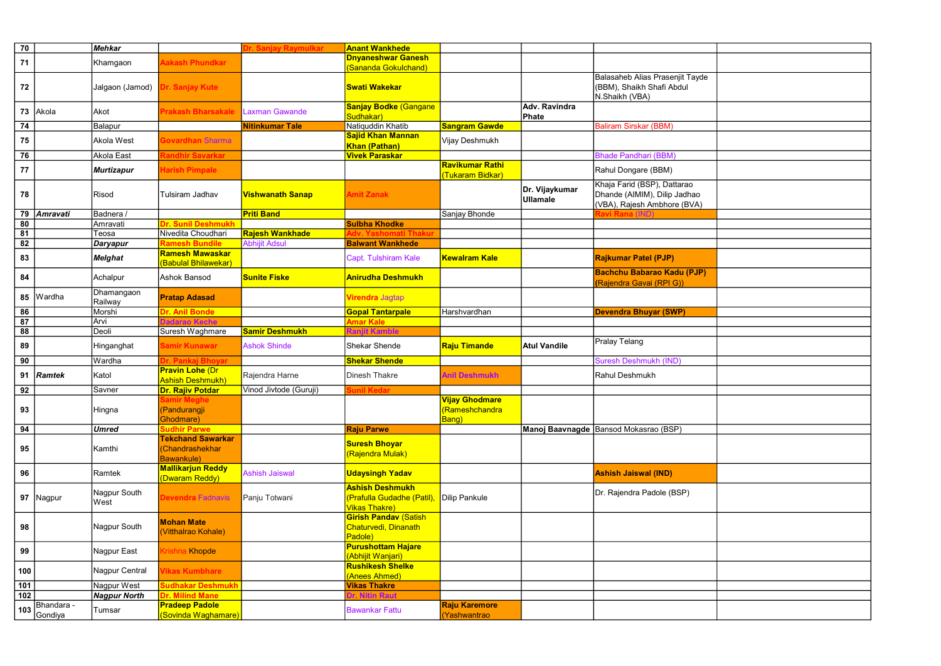| 70              |                 | <b>Mehkar</b>         |                                                                   | Dr. Sanjay Raymulkar    | <b>Anant Wankhede</b>                                                        |                                                          |                                   |                                                                                            |
|-----------------|-----------------|-----------------------|-------------------------------------------------------------------|-------------------------|------------------------------------------------------------------------------|----------------------------------------------------------|-----------------------------------|--------------------------------------------------------------------------------------------|
| 71              |                 |                       | <b>Aakash Phundkar</b>                                            |                         | <b>Dnyaneshwar Ganesh</b>                                                    |                                                          |                                   |                                                                                            |
|                 |                 | Khamgaon              |                                                                   |                         | (Sananda Gokulchand)                                                         |                                                          |                                   |                                                                                            |
| 72              |                 | Jalgaon (Jamod)       | Dr. Sanjay Kute                                                   |                         | <b>Swati Wakekar</b>                                                         |                                                          |                                   | Balasaheb Alias Prasenjit Tayde<br>(BBM), Shaikh Shafi Abdul<br>N.Shaikh (VBA)             |
| 73              | Akola           | Akot                  | <b>Prakash Bharsakale</b>                                         | <b>Laxman Gawande</b>   | <b>Sanjay Bodke (Gangane</b><br>Sudhakar)                                    |                                                          | <b>Adv. Ravindra</b><br>Phate     |                                                                                            |
| 74              |                 | Balapur               |                                                                   | <b>Nitinkumar Tale</b>  | Natiquddin Khatib                                                            | <b>Sangram Gawde</b>                                     |                                   | <b>Baliram Sirskar (BBM)</b>                                                               |
| 75              |                 | Akola West            | <b>Sovardhan Sharma</b>                                           |                         | <b>Sajid Khan Mannan</b>                                                     | Vijay Deshmukh                                           |                                   |                                                                                            |
|                 |                 |                       |                                                                   |                         | Khan (Pathan)                                                                |                                                          |                                   |                                                                                            |
| 76              |                 | <b>Akola East</b>     | <b>Randhir Savarkar</b>                                           |                         | <b>Vivek Paraskar</b>                                                        |                                                          |                                   | <b>Bhade Pandhari (BBM)</b>                                                                |
| 77              |                 | <b>Murtizapur</b>     | <b>Harish Pimpale</b>                                             |                         |                                                                              | <b>Ravikumar Rathi</b><br>(Tukaram Bidkar)               |                                   | Rahul Dongare (BBM)                                                                        |
| 78              |                 | Risod                 | <b>Tulsiram Jadhav</b>                                            | <b>Vishwanath Sanap</b> | <b>Amit Zanak</b>                                                            |                                                          | Dr. Vijaykumar<br><b>Ullamale</b> | Khaja Farid (BSP), Dattarao<br>Dhande (AIMIM), Dilip Jadhao<br>(VBA), Rajesh Ambhore (BVA) |
| 79              | <b>Amravati</b> | Badnera /             |                                                                   | <b>Priti Band</b>       |                                                                              | Sanjay Bhonde                                            |                                   | રavi Rana (I                                                                               |
| 80              |                 | Amravati              | <b>Dr. Sunil Deshmukh</b>                                         |                         | <b>Sulbha Khodke</b>                                                         |                                                          |                                   |                                                                                            |
| $\overline{81}$ |                 | Teosa                 | Nivedita Choudhari                                                | <b>Rajesh Wankhade</b>  | Yashomati Thakur<br>Adv.                                                     |                                                          |                                   |                                                                                            |
| 82              |                 | <b>Daryapur</b>       | <b>Ramesh Bundile</b><br><b>Ramesh Mawaskar</b>                   | <b>Abhijit Adsul</b>    | <b>Balwant Wankhede</b>                                                      |                                                          |                                   |                                                                                            |
| 83              |                 | <b>Melghat</b>        | (Babulal Bhilawekar)                                              |                         | Capt. Tulshiram Kale                                                         | <b>Kewalram Kale</b>                                     |                                   | <b>Rajkumar Patel (PJP)</b>                                                                |
| 84              |                 | Achalpur              | Ashok Bansod                                                      | <b>Sunite Fiske</b>     | <b>Anirudha Deshmukh</b>                                                     |                                                          |                                   | <b>Bachchu Babarao Kadu (PJP)</b><br>(Rajendra Gavai (RPI G))                              |
| 85              | Wardha          | Dhamangaon<br>Railway | <b>Pratap Adasad</b>                                              |                         | Virendra Jagtap                                                              |                                                          |                                   |                                                                                            |
| 86              |                 | Morshi                | <b>Dr. Anil Bonde</b>                                             |                         | <b>Gopal Tantarpale</b>                                                      | Harshvardhan                                             |                                   | <b>Devendra Bhuyar (SWP)</b>                                                               |
| 87              |                 | Arvi                  | <b>Jadarao Keche</b>                                              |                         | <b>Amar Kale</b>                                                             |                                                          |                                   |                                                                                            |
| 88              |                 | Deoli                 | Suresh Waghmare                                                   | <b>Samir Deshmukh</b>   |                                                                              |                                                          |                                   |                                                                                            |
| 89              |                 | Hinganghat            | Samir Kunawar                                                     | <b>Ashok Shinde</b>     | Shekar Shende                                                                | <b>Raju Timande</b>                                      | <b>Atul Vandile</b>               | <b>Pralay Telang</b>                                                                       |
| 90              |                 | Wardha                | <b>Pankai Bhovar</b>                                              |                         | <b>Shekar Shende</b>                                                         |                                                          |                                   | <b>Suresh Deshmukh (IND)</b>                                                               |
| 91              | Ramtek          | Katol                 | <b>Pravin Lohe (Dr</b><br><b>Ashish Deshmukh)</b>                 | Rajendra Harne          | <b>Dinesh Thakre</b>                                                         | <b>Anil Deshmukh</b>                                     |                                   | Rahul Deshmukh                                                                             |
| 92              |                 | Savner                | Dr. Rajiv Potdar                                                  | Vinod Jivtode (Guruji)  | <b>Sunil Kedar</b>                                                           |                                                          |                                   |                                                                                            |
| 93              |                 | Hingna                | <b>Samir Meghe</b><br>(Pandurangji<br>Ghodmare)                   |                         |                                                                              | <b>Vijay Ghodmare</b><br>(Rameshchandra<br><b>Bang</b> ) |                                   |                                                                                            |
| 94              |                 | <b>Umred</b>          | <b>Sudhir Parwe</b>                                               |                         | <b>Raju Parwe</b>                                                            |                                                          |                                   | Manoj Baavnagde Bansod Mokasrao (BSP)                                                      |
| 95              |                 | Kamthi                | <b>Tekchand Sawarkar</b><br>(Chandrashekhar<br><b>Bawankule</b> ) |                         | <b>Suresh Bhoyar</b><br>(Rajendra Mulak)                                     |                                                          |                                   |                                                                                            |
| 96              |                 | Ramtek                | <b>Mallikarjun Reddy</b><br>(Dwaram Reddy)                        | <b>Ashish Jaiswal</b>   | <b>Udaysingh Yadav</b>                                                       |                                                          |                                   | <b>Ashish Jaiswal (IND)</b>                                                                |
|                 | 97 Nagpur       | Nagpur South<br>West  | <b>Devendra Fadnavis</b>                                          | Panju Totwani           | <b>Ashish Deshmukh</b><br>(Prafulla Gudadhe (Patil),<br><b>Vikas Thakre)</b> | Dilip Pankule                                            |                                   | Dr. Rajendra Padole (BSP)                                                                  |
| 98              |                 | Nagpur South          | <b>Mohan Mate</b><br>(Vitthalrao Kohale)                          |                         | <b>Girish Pandav (Satish</b><br>Chaturvedi, Dinanath<br>Padole)              |                                                          |                                   |                                                                                            |
| 99              |                 | Nagpur East           | Krishna Khopde                                                    |                         | <b>Purushottam Hajare</b><br>(Abhijit Wanjari)                               |                                                          |                                   |                                                                                            |
| 100             |                 | Nagpur Central        | <b>Vikas Kumbhare</b>                                             |                         | <b>Rushikesh Shelke</b><br>(Anees Ahmed)                                     |                                                          |                                   |                                                                                            |
| 101             |                 | Nagpur West           | <b>Sudhakar Deshmukh</b>                                          |                         | <b>Vikas Thakre</b>                                                          |                                                          |                                   |                                                                                            |
| 102             |                 | <b>Nagpur North</b>   | <b>Dr. Milind Mane</b>                                            |                         | <b>Dr. Nitin Raut</b>                                                        |                                                          |                                   |                                                                                            |
| 103             | Bhandara -      |                       | <b>Pradeep Padole</b>                                             |                         |                                                                              | <b>Raju Karemore</b>                                     |                                   |                                                                                            |
|                 | Gondiya         | Tumsar                | (Sovinda Waghamare)                                               |                         | <b>Bawankar Fattu</b>                                                        | (Yashwantrao                                             |                                   |                                                                                            |

| e |  |
|---|--|
|   |  |
|   |  |
|   |  |
|   |  |
|   |  |
|   |  |
|   |  |
|   |  |
|   |  |
|   |  |
|   |  |
|   |  |
|   |  |
|   |  |
|   |  |
|   |  |
|   |  |
|   |  |
|   |  |
|   |  |
|   |  |
|   |  |
|   |  |
|   |  |
|   |  |
|   |  |
|   |  |
|   |  |
|   |  |
|   |  |
|   |  |
|   |  |
|   |  |
|   |  |
|   |  |
|   |  |
|   |  |
|   |  |
|   |  |
|   |  |
|   |  |
|   |  |
|   |  |
|   |  |
|   |  |
|   |  |
|   |  |
|   |  |
|   |  |
|   |  |
|   |  |
|   |  |
|   |  |
|   |  |
|   |  |
|   |  |
|   |  |
|   |  |
|   |  |
|   |  |
|   |  |
|   |  |
|   |  |
|   |  |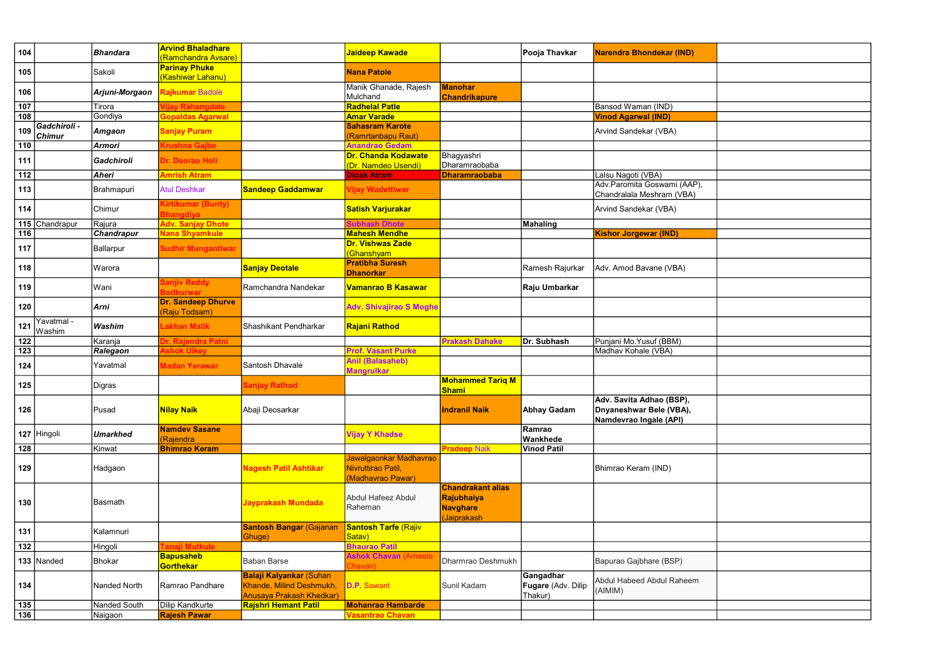| 104               |                               | <b>Bhandara</b> | <b>Arvind Bhaladhare</b><br><mark>(Ramchandra Avsare)</mark> |                                                                                               | <mark>Jaideep Kawade</mark>                                       |                                                                          | Pooja Thavkar                              | Narendra Bhondekar (IND)                                                      |
|-------------------|-------------------------------|-----------------|--------------------------------------------------------------|-----------------------------------------------------------------------------------------------|-------------------------------------------------------------------|--------------------------------------------------------------------------|--------------------------------------------|-------------------------------------------------------------------------------|
| 105               |                               | Sakoli          | <b>Parinay Phuke</b><br>(Kashiwar Lahanu)                    |                                                                                               | <b>Nana Patole</b>                                                |                                                                          |                                            |                                                                               |
| 106               |                               | Arjuni-Morgaon  | Rajkumar Badole                                              |                                                                                               | Manik Ghanade, Rajesh<br>Mulchand                                 | <b>Manohar</b><br><b>Chandrikapure</b>                                   |                                            |                                                                               |
| 107               |                               | Tirora          | ijay Rahangdale                                              |                                                                                               | <b>Radhelal Patle</b>                                             |                                                                          |                                            | Bansod Waman (IND)                                                            |
| 108               |                               | Gondiya         | Gopaldas Agarwal                                             |                                                                                               | <b>Amar Varade</b>                                                |                                                                          |                                            | <b>Vinod Agarwal (IND)</b>                                                    |
| 109               | Gadchiroli -<br><b>Chimur</b> | <b>Amgaon</b>   | <b>Sanjay Puram</b>                                          |                                                                                               | <b>Sahasram Karote</b><br>(Ramrtanbapu Raut)                      |                                                                          |                                            | Arvind Sandekar (VBA)                                                         |
| 110               |                               | <b>Armori</b>   | <b>Crushna Gajbe</b>                                         |                                                                                               | <b>Anandrao Gedam</b>                                             |                                                                          |                                            |                                                                               |
| 111               |                               | Gadchiroli      | Dr. Deorao Holi                                              |                                                                                               | Dr. Chanda Kodawate<br>(Dr. Namdeo Usendi)                        | Bhagyashri<br>Dharamraobaba                                              |                                            |                                                                               |
| $112$             |                               | Aheri           | <b>Amrish Atram</b>                                          |                                                                                               | <b>Dipak Atram</b>                                                | <b>Dharamraobaba</b>                                                     |                                            | Lalsu Nagoti (VBA)                                                            |
| 113               |                               | Brahmapuri      | <b>Atul Deshkar</b>                                          | <b>Sandeep Gaddamwar</b>                                                                      | Vijay Wadettiwar                                                  |                                                                          |                                            | Adv.Paromita Goswami (AAP),<br>Chandralala Meshram (VBA)                      |
| 114               |                               | Chimur          | <b>Sirtikumar (Bunty)</b><br><b>Bhangdiya</b>                |                                                                                               | <b>Satish Varjurakar</b>                                          |                                                                          |                                            | Arvind Sandekar (VBA)                                                         |
| 115               | Chandrapur                    | Rajura          | <b>Adv. Sanjay Dhote</b>                                     |                                                                                               |                                                                   |                                                                          | Mahaling                                   |                                                                               |
| $\frac{116}{116}$ |                               | Chandrapur      | <b>Vana Shyamkule</b>                                        |                                                                                               | <b>Mahesh Mendhe</b>                                              |                                                                          |                                            | <b>Kishor Jorgewar (IND)</b>                                                  |
| 117               |                               | Ballarpur       | Sudhir Mungantiwar                                           |                                                                                               | <b>Dr. Vishwas Zade</b><br>(Ghanshyam                             |                                                                          |                                            |                                                                               |
| 118               |                               | Warora          |                                                              | <b>Sanjay Deotale</b>                                                                         | <b>Pratibha Suresh</b><br><b>Dhanorkar</b>                        |                                                                          | Ramesh Rajurkar                            | Adv. Amod Bavane (VBA)                                                        |
| 119               |                               | Wani            | Sanjiv Reddy<br><b>Bodkurwar</b>                             | Ramchandra Nandekar                                                                           | Vamanrao B Kasawar                                                |                                                                          | Raju Umbarkar                              |                                                                               |
| 120               |                               | Arni            | <b>Dr. Sandeep Dhurve</b><br>(Raju Todsam)                   |                                                                                               | <b>Adv. Shivajirao S Moghe</b>                                    |                                                                          |                                            |                                                                               |
| 121               | Yavatmal -<br>Washim          | Washim          | Lakhan Malik                                                 | Shashikant Pendharkar                                                                         | <b>Rajani Rathod</b>                                              |                                                                          |                                            |                                                                               |
| 122               |                               | Karanja         | . Rajendra Patni                                             |                                                                                               |                                                                   | <b>Prakash Dahake</b>                                                    | Dr. Subhash                                | Punjani Mo.Yusuf (BBM)                                                        |
| 123               |                               | Ralegaon        | <b>shok Uikey</b>                                            |                                                                                               | <b>Prof. Vasant Purke</b>                                         |                                                                          |                                            | Madhav Kohale (VBA)                                                           |
| 124               |                               | Yavatmal        | Madan Yerawar                                                | Santosh Dhavale                                                                               | <b>Anil (Balasaheb)</b><br><b>Mangrulkar</b>                      |                                                                          |                                            |                                                                               |
| 125               |                               | Digras          |                                                              | <b>Sanjay Rathod</b>                                                                          |                                                                   | <b>Mohammed Tariq M</b><br><b>Shami</b>                                  |                                            |                                                                               |
| 126               |                               | Pusad           | <b>Nilay Naik</b>                                            | Abaji Deosarkar                                                                               |                                                                   | <b>Indranil Naik</b>                                                     | <b>Abhay Gadam</b>                         | Adv. Savita Adhao (BSP),<br>Dnyaneshwar Bele (VBA),<br>Namdevrao Ingale (API) |
|                   | 127 Hingoli                   | <b>Umarkhed</b> | <b>Namdev Sasane</b><br>(Rajendra                            |                                                                                               | <b>Vijay Y Khadse</b>                                             |                                                                          | Ramrao<br>Wankhede                         |                                                                               |
| $128$             |                               | Kinwat          | <b>Bhimrao Keram</b>                                         |                                                                                               |                                                                   | <b>Pradeep Naik</b>                                                      | <b>Vinod Patil</b>                         |                                                                               |
| 129               |                               | Hadgaon         |                                                              | Nagesh Patil Ashtikar                                                                         | Jawalgaonkar Madhavrao<br>Nivruttirao Patil,<br>(Madhavrao Pawar) |                                                                          |                                            | Bhimrao Keram (IND)                                                           |
| 130               |                               | Basmath         |                                                              | Jayprakash Mundada                                                                            | Abdul Hafeez Abdul<br>Raheman                                     | <b>Chandrakant alias</b><br>Rajubhaiya<br><b>Navghare</b><br>(Jaiprakash |                                            |                                                                               |
| 131               |                               | Kalamnuri       |                                                              | <b>Santosh Bangar (Gajanan</b><br>Ghuge)                                                      | <b>Santosh Tarfe (Rajiv</b><br>Satav)                             |                                                                          |                                            |                                                                               |
| 132               |                               | Hingoli         | 'anaji Mutkule                                               |                                                                                               | <b>Bhaurao Patil</b>                                              |                                                                          |                                            |                                                                               |
|                   | 133   Nanded                  | Bhokar          | <b>Bapusaheb</b><br>Gorthekar                                | <b>Baban Barse</b>                                                                            | <b>Ashok Chavan (Ameeta</b><br>Chavan).                           | Dharmrao Deshmukh                                                        |                                            | Bapurao Gajbhare (BSP)                                                        |
| 134               |                               | Nanded North    | Ramrao Pandhare                                              | <b>Balaji Kalyankar (Suhan</b><br>Khande, Milind Deshmukh,<br><b>Anusaya Prakash Khedkar)</b> | D.P. Sawant                                                       | Sunil Kadam                                                              | Gangadhar<br>Fugare (Adv. Dilip<br>Thakur) | Abdul Habeed Abdul Raheem<br>(AIMIM)                                          |
| 135               |                               | Nanded South    | <b>Dilip Kandkurte</b>                                       | <b>Rajshri Hemant Patil</b>                                                                   | <b>Mohanrao Hambarde</b>                                          |                                                                          |                                            |                                                                               |
| $\overline{136}$  |                               | Naigaon         | <b>Rajesh Pawar</b>                                          |                                                                                               | <b>Vasantrao Chavan</b>                                           |                                                                          |                                            |                                                                               |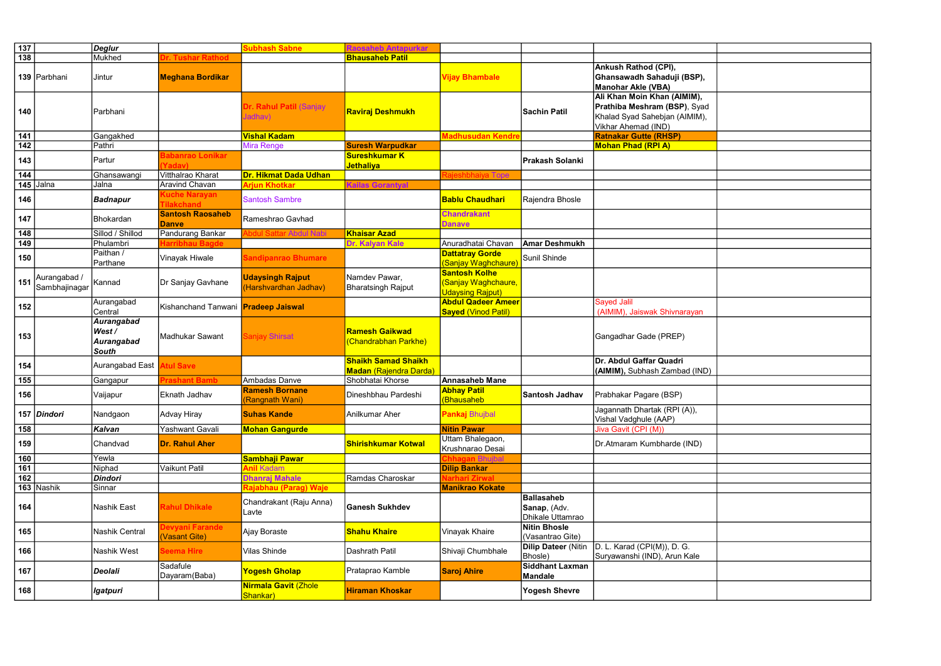| $\boxed{137}$    |                               | $\vert$ Deglur                                    |                                           | <b>Subhash Sabne</b>                             | <b>Raosaheb Antapurkar</b>                                  |                                                                        |                                                       |                                                                                                                     |
|------------------|-------------------------------|---------------------------------------------------|-------------------------------------------|--------------------------------------------------|-------------------------------------------------------------|------------------------------------------------------------------------|-------------------------------------------------------|---------------------------------------------------------------------------------------------------------------------|
| $\overline{138}$ |                               | Mukhed                                            | r. Tushar Rathod                          |                                                  | <b>Bhausaheb Patil</b>                                      |                                                                        |                                                       |                                                                                                                     |
|                  | 139 Parbhani                  | Jintur                                            | <b>Meghana Bordikar</b>                   |                                                  |                                                             | <b>Vijay Bhambale</b>                                                  |                                                       | Ankush Rathod (CPI),<br>Ghansawadh Sahaduji (BSP),<br><b>Manohar Akle (VBA)</b>                                     |
| 140              |                               | Parbhani                                          |                                           | Dr. Rahul Patil (Sanjay<br>Jadhav)               | <mark> Raviraj Deshmukh</mark>                              |                                                                        | <b>Sachin Patil</b>                                   | Ali Khan Moin Khan (AIMIM),<br>Prathiba Meshram (BSP), Syad<br>Khalad Syad Sahebjan (AIMIM),<br>Vikhar Ahemad (IND) |
| 141              |                               | Gangakhed                                         |                                           | <b>Vishal Kadam</b>                              |                                                             | Madhusudan Kendr                                                       |                                                       | <b>Ratnakar Gutte (RHSP)</b>                                                                                        |
| 142              |                               | Pathri                                            |                                           | <b>Mira Renge</b>                                | <b>Suresh Warpudkar</b>                                     |                                                                        |                                                       | <b>Mohan Phad (RPI A)</b>                                                                                           |
| 143              |                               | Partur                                            | <b>Jabanrao Lonikar</b><br><b>Yadav)</b>  |                                                  | <b>Sureshkumar K</b><br><mark>Jethaliya</mark>              |                                                                        | <b>Prakash Solanki</b>                                |                                                                                                                     |
| 144              |                               | Ghansawangi                                       | Vitthalrao Kharat                         | Dr. Hikmat Dada Udhan                            |                                                             | ajeshbhaiya Tope                                                       |                                                       |                                                                                                                     |
| 145              | Jalna                         | Jalna                                             | <b>Aravind Chavan</b>                     | Arjun Khotkar                                    | <b>Kailas Gorantyal</b>                                     |                                                                        |                                                       |                                                                                                                     |
| 146              |                               | <b>Badnapur</b>                                   | <b>Kuche Narayan</b><br><b>Tilakchand</b> | <b>Santosh Sambre</b>                            |                                                             | <b>Bablu Chaudhari</b>                                                 | Rajendra Bhosle                                       |                                                                                                                     |
| 147              |                               | Bhokardan                                         | <b>Santosh Raosaheb</b><br><b>Danve</b>   | Rameshrao Gavhad                                 |                                                             | <b>Chandrakant</b><br><b>Danave</b>                                    |                                                       |                                                                                                                     |
| 148              |                               | Sillod / Shillod                                  | Pandurang Bankar                          | <b>Nodul Sattar Abdul Nabi</b>                   | <b>Khaisar Azad</b>                                         |                                                                        |                                                       |                                                                                                                     |
| 149              |                               | Phulambri                                         | arribhau Bagde                            |                                                  | Dr. Kalyan Kale                                             | Anuradhatai Chavan                                                     | <b>Amar Deshmukh</b>                                  |                                                                                                                     |
| 150              |                               | Paithan /<br>Parthane                             | Vinayak Hiwale                            | <b>Sandipanrao Bhumare</b>                       |                                                             | <b>Dattatray Gorde</b><br>(Sanjay Waghchaure)                          | Sunil Shinde                                          |                                                                                                                     |
| 151              | Aurangabad /<br>Sambhajinagar | Kannad                                            | Dr Sanjay Gavhane                         | <b>Udaysingh Rajput</b><br>(Harshvardhan Jadhav) | Namdev Pawar,<br><b>Bharatsingh Rajput</b>                  | <b>Santosh Kolhe</b><br>(Sanjay Waghchaure,<br><b>Udaysing Rajput)</b> |                                                       |                                                                                                                     |
| 152              |                               | Aurangabad<br>Central                             | Kishanchand Tanwani Pradeep Jaiswal       |                                                  |                                                             | <b>Abdul Qadeer Ameer</b><br><b>Sayed (Vinod Patil)</b>                |                                                       | <b>Sayed Jalil</b><br>(AIMIM), Jaiswak Shivnarayan                                                                  |
| 153              |                               | Aurangabad<br>West/<br>Aurangabad<br><b>South</b> | Madhukar Sawant                           | Sanjay Shirsat                                   | <b>Ramesh Gaikwad</b><br>(Chandrabhan Parkhe)               |                                                                        |                                                       | Gangadhar Gade (PREP)                                                                                               |
| 154              |                               | Aurangabad East                                   | <b>Atul Save</b>                          |                                                  | <b>Shaikh Samad Shaikh</b><br><b>Madan (Rajendra Darda)</b> |                                                                        |                                                       | Dr. Abdul Gaffar Quadri<br>(AIMIM), Subhash Zambad (IND)                                                            |
| 155              |                               | Gangapur                                          | ıshant Bamb                               | Ambadas Danve                                    | Shobhatai Khorse                                            | <b>Annasaheb Mane</b>                                                  |                                                       |                                                                                                                     |
| 156              |                               | Vaijapur                                          | Eknath Jadhav                             | <b>Ramesh Bornane</b><br>(Rangnath Wani)         | Dineshbhau Pardeshi                                         | <b>Abhay Patil</b><br>(Bhausaheb                                       | <b>Santosh Jadhav</b>                                 | Prabhakar Pagare (BSP)                                                                                              |
|                  | 157 Dindori                   | Nandgaon                                          | Advay Hiray                               | <b>Suhas Kande</b>                               | Anilkumar Aher                                              | Pankaj Bhujbal                                                         |                                                       | Jagannath Dhartak (RPI (A)),<br>Vishal Vadghule (AAP)                                                               |
| 158              |                               | Kalvan                                            | Yashwant Gavali                           | <b>Mohan Gangurde</b>                            |                                                             | <b>Nitin Pawar</b>                                                     |                                                       | Jiva Gavit (CPI (M))                                                                                                |
| 159              |                               | Chandvad                                          | Dr. Rahul Aher                            |                                                  | <b>Shirishkumar Kotwal</b>                                  | Uttam Bhalegaon,<br>Krushnarao Desai                                   |                                                       | Dr.Atmaram Kumbharde (IND)                                                                                          |
| 160              |                               | Yewla                                             |                                           | Sambhaji Pawar                                   |                                                             | <b>Chhagan</b> Bhuibal                                                 |                                                       |                                                                                                                     |
| 161              |                               | Niphad                                            | Vaikunt Patil                             | <b>Anil Kadam</b>                                |                                                             | <b>Dilip Bankar</b>                                                    |                                                       |                                                                                                                     |
| $162$            |                               | <b>Dindori</b>                                    |                                           | <b>Dhanraj Mahale</b>                            | Ramdas Charoskar                                            | <b>Narhari Zirwal</b>                                                  |                                                       |                                                                                                                     |
|                  | 163 Nashik                    | Sinnar                                            |                                           | <mark>Rajabhau (Parag) Waje</mark>               |                                                             | <b>Manikrao Kokate</b>                                                 |                                                       |                                                                                                                     |
| 164              |                               | Nashik East                                       | <b>Rahul Dhikale</b>                      | Chandrakant (Raju Anna)<br>Lavte                 | <b>Ganesh Sukhdev</b>                                       |                                                                        | <b>Ballasaheb</b><br>Sanap, (Adv.<br>Dhikale Uttamrao |                                                                                                                     |
| 165              |                               | Nashik Central                                    | <b>Devyani Farande</b><br>(Vasant Gite)   | Ajay Boraste                                     | <b>Shahu Khaire</b>                                         | Vinayak Khaire                                                         | <b>Nitin Bhosle</b><br>(Vasantrao Gite)               |                                                                                                                     |
| 166              |                               | Nashik West                                       | Seema Hire                                | Vilas Shinde                                     | Dashrath Patil                                              | Shivaji Chumbhale                                                      | <b>Dilip Dateer (Nitin</b><br>Bhosle)                 | D. L. Karad (CPI(M)), D. G.<br>Suryawanshi (IND), Arun Kale                                                         |
| 167              |                               | Deolali                                           | Sadafule<br>Dayaram (Baba)                | <b>Yogesh Gholap</b>                             | Prataprao Kamble                                            | <b>Saroj Ahire</b>                                                     | <b>Siddhant Laxman</b><br><b>Mandale</b>              |                                                                                                                     |
| 168              |                               | lgatpuri                                          |                                           | <b>Nirmala Gavit (Zhole</b><br>Shankar)          | <b>Hiraman Khoskar</b>                                      |                                                                        | <b>Yogesh Shevre</b>                                  |                                                                                                                     |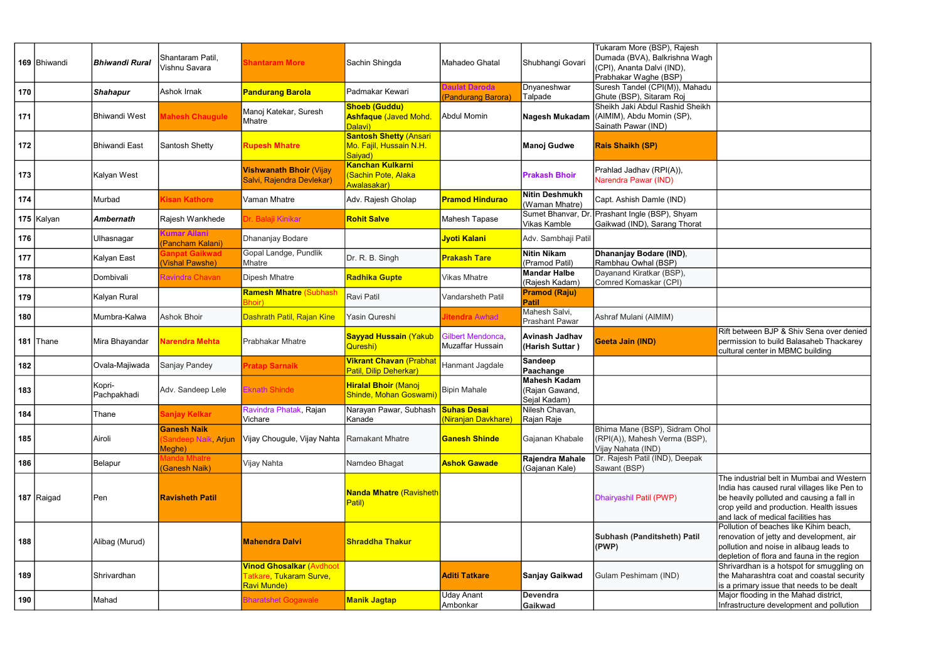|     | 169   Bhiwandi | <b>Bhiwandi Rural</b> | Shantaram Patil,<br>Vishnu Savara                   | <b>Shantaram More</b>                                                                  | Sachin Shingda                                                      | Mahadeo Ghatal                             | Shubhangi Govari                               | Tukaram More (BSP), Rajesh<br>Dumada (BVA), Balkrishna Wagh<br>(CPI), Ananta Dalvi (IND),<br>Prabhakar Waghe (BSP) |
|-----|----------------|-----------------------|-----------------------------------------------------|----------------------------------------------------------------------------------------|---------------------------------------------------------------------|--------------------------------------------|------------------------------------------------|--------------------------------------------------------------------------------------------------------------------|
| 170 |                | <b>Shahapur</b>       | Ashok Irnak                                         | <b>Pandurang Barola</b>                                                                | Padmakar Kewari                                                     | <b>Daulat Daroda</b><br>(Pandurang Barora) | Dnyaneshwar<br>Talpade                         | Suresh Tandel (CPI(M)), Mahadu<br>Ghute (BSP), Sitaram Roj                                                         |
| 171 |                | <b>Bhiwandi West</b>  | Mahesh Chaugule                                     | Manoj Katekar, Suresh<br>Mhatre                                                        | <b>Shoeb (Guddu)</b><br><b>Ashfaque (Javed Mohd.</b><br>Dalavi)     | <b>Abdul Momin</b>                         | Nagesh Mukadam                                 | Sheikh Jaki Abdul Rashid Sheikh<br>(AIMIM), Abdu Momin (SP),<br>Sainath Pawar (IND)                                |
| 172 |                | <b>Bhiwandi East</b>  | Santosh Shetty                                      | <b>Rupesh Mhatre</b>                                                                   | <b>Santosh Shetty (Ansari</b><br>Mo. Fajil, Hussain N.H.<br>Saiyad) |                                            | <b>Manoj Gudwe</b>                             | <b>Rais Shaikh (SP)</b>                                                                                            |
| 173 |                | Kalyan West           |                                                     | <b>Vishwanath Bhoir (Vijay</b><br>Salvi, Rajendra Devlekar)                            | <b>Kanchan Kulkarni</b><br><b>Sachin Pote, Alaka</b><br>Awalasakar) |                                            | <b>Prakash Bhoir</b>                           | Prahlad Jadhav (RPI(A)),<br>Narendra Pawar (IND)                                                                   |
| 174 |                | Murbad                | <b>Kisan Kathore</b>                                | Vaman Mhatre                                                                           | Adv. Rajesh Gholap                                                  | <b>Pramod Hindurao</b>                     | <b>Nitin Deshmukh</b><br>(Waman Mhatre)        | Capt. Ashish Damle (IND)                                                                                           |
|     | 175 Kalyan     | <b>Ambernath</b>      | Rajesh Wankhede                                     | Dr. Balaji Kinikar                                                                     | <b>Rohit Salve</b>                                                  | Mahesh Tapase                              | Sumet Bhanvar, Dr<br>Vikas Kamble              | Prashant Ingle (BSP), Shyam<br>Gaikwad (IND), Sarang Thorat                                                        |
| 176 |                | Ulhasnagar            | <b>Kumar Ailani</b><br>Pancham Kalani)              | Dhananjay Bodare                                                                       |                                                                     | Jyoti Kalani                               | Adv. Sambhaji Patil                            |                                                                                                                    |
| 177 |                | Kalyan East           | <b>Sanpat Gaikwad</b><br>Vishal Pawshe)             | Gopal Landge, Pundlik<br>Mhatre                                                        | Dr. R. B. Singh                                                     | <b>Prakash Tare</b>                        | <b>Nitin Nikam</b><br>(Pramod Patil)           | Dhananjay Bodare (IND),<br>Rambhau Owhal (BSP)                                                                     |
| 178 |                | Dombivali             | Ravindra Chavan                                     | <b>Dipesh Mhatre</b>                                                                   | <b>Radhika Gupte</b>                                                | Vikas Mhatre                               | <b>Mandar Halbe</b><br>(Rajesh Kadam)          | Dayanand Kiratkar (BSP),<br>Comred Komaskar (CPI)                                                                  |
| 179 |                | Kalyan Rural          |                                                     | <b>Ramesh Mhatre (Subhash</b><br>3hoir)                                                | <b>Ravi Patil</b>                                                   | Vandarsheth Patil                          | <b>Pramod (Raju)</b><br><b>Patil</b>           |                                                                                                                    |
| 180 |                | Mumbra-Kalwa          | <b>Ashok Bhoir</b>                                  | Dashrath Patil, Rajan Kine                                                             | Yasin Qureshi                                                       | litendra Awhad                             | Mahesh Salvi,<br><b>Prashant Pawar</b>         | Ashraf Mulani (AIMIM)                                                                                              |
|     | 181   Thane    | Mira Bhayandar        | Narendra Mehta                                      | <b>Prabhakar Mhatre</b>                                                                | <b>Sayyad Hussain (Yakub</b><br>Qureshi)                            | Gilbert Mendonca,<br>Muzaffar Hussain      | Avinash Jadhav<br>(Harish Suttar)              | Geeta Jain (IND)                                                                                                   |
| 182 |                | Ovala-Majiwada        | Sanjay Pandey                                       | <b>Pratap Sarnaik</b>                                                                  | <b>Vikrant Chavan (Prabhat</b><br>Patil, Dilip Deherkar)            | Hanmant Jagdale                            | Sandeep<br>Paachange                           |                                                                                                                    |
| 183 |                | Kopri-<br>Pachpakhadi | Adv. Sandeep Lele                                   | <b>Eknath Shinde</b>                                                                   | <b>Hiralal Bhoir</b> (Manoj<br>Shinde, Mohan Goswami)               | <b>Bipin Mahale</b>                        | Mahesh Kadam<br>(Rajan Gawand,<br>Sejal Kadam) |                                                                                                                    |
| 184 |                | Thane                 | Sanjay Kelkar                                       | Ravindra Phatak, Rajan<br>Vichare                                                      | Narayan Pawar, Subhash I <mark>Suhas Desail</mark><br>Kanade        | <mark>(Niranjan Davkhare)</mark>           | Nilesh Chavan,<br>Rajan Raje                   |                                                                                                                    |
| 185 |                | Airoli                | <b>Ganesh Naik</b><br>Sandeep Naik, Arjun<br>Meghe) | Vijay Chougule, Vijay Nahta                                                            | Ramakant Mhatre                                                     | <b>Ganesh Shinde</b>                       | Gajanan Khabale                                | Bhima Mane (BSP), Sidram Ohol<br>(RPI(A)), Mahesh Verma (BSP),<br>Vijay Nahata (IND)                               |
| 186 |                | Belapur               | Manda Mhatre<br>(Ganesh Naik)                       | Vijay Nahta                                                                            | Namdeo Bhagat                                                       | <b>Ashok Gawade</b>                        | Rajendra Mahale<br>(Gajanan Kale)              | Dr. Rajesh Patil (IND), Deepak<br>Sawant (BSP)                                                                     |
|     | 187 Raigad     | Pen                   | <b>Ravisheth Patil</b>                              |                                                                                        | <b>Nanda Mhatre (Ravisheth</b><br>Patil)                            |                                            |                                                | Dhairyashil Patil (PWP)                                                                                            |
| 188 |                | Alibag (Murud)        |                                                     | <b>Mahendra Dalvi</b>                                                                  | <b>Shraddha Thakur</b>                                              |                                            |                                                | Subhash (Panditsheth) Patil<br>(PWP)                                                                               |
| 189 |                | Shrivardhan           |                                                     | <b>Vinod Ghosalkar (Avdhoot</b><br><mark>Tatkare, Tukaram Surve,</mark><br>Ravi Munde) |                                                                     | <b>Aditi Tatkare</b>                       | <b>Sanjay Gaikwad</b>                          | Gulam Peshimam (IND)                                                                                               |
| 190 |                | Mahad                 |                                                     | <b>Bharatshet Gogawale</b>                                                             | <b>Manik Jagtap</b>                                                 | <b>Uday Anant</b><br>Ambonkar              | <b>Devendra</b><br>Gaikwad                     |                                                                                                                    |

| Rift between BJP & Shiv Sena over denied<br>permission to build Balasaheb Thackarey                                                                                                                                     |
|-------------------------------------------------------------------------------------------------------------------------------------------------------------------------------------------------------------------------|
| cultural center in MBMC building                                                                                                                                                                                        |
|                                                                                                                                                                                                                         |
|                                                                                                                                                                                                                         |
|                                                                                                                                                                                                                         |
|                                                                                                                                                                                                                         |
|                                                                                                                                                                                                                         |
| The industrial belt in Mumbai and Western<br>India has caused rural villages like Pen to<br>be heavily polluted and causing a fall in<br>crop yeild and production. Health issues<br>and lack of medical facilities has |
| Pollution of beaches like Kihim beach,<br>renovation of jetty and development, air<br>pollution and noise in alibaug leads to<br>depletion of flora and fauna in the region                                             |
| Shrivardhan is a hotspot for smuggling on<br>the Maharashtra coat and coastal security<br>is a primary issue that needs to be dealt                                                                                     |
|                                                                                                                                                                                                                         |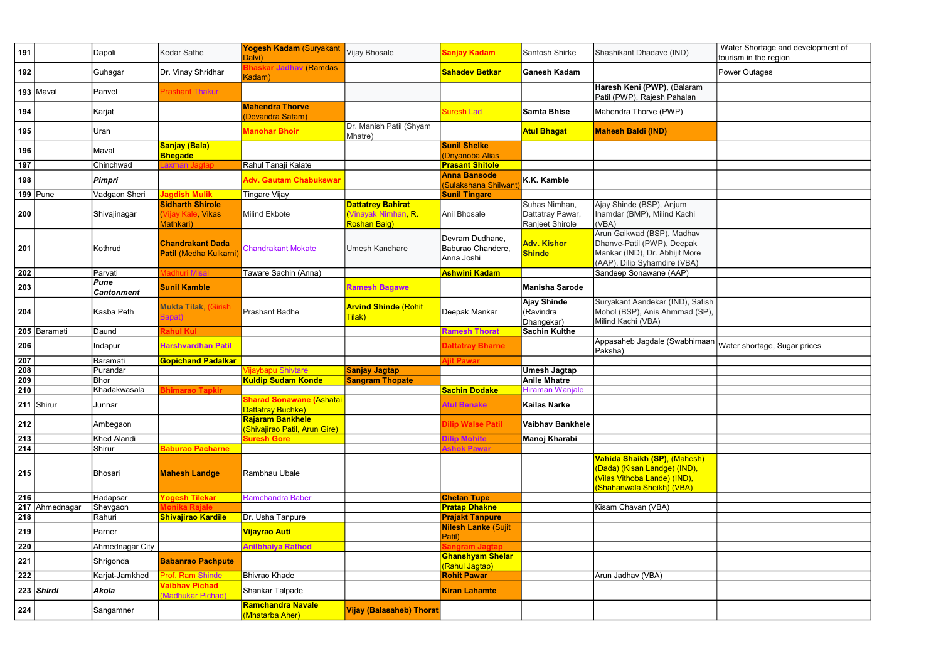|   | Water Shortage and development of<br>tourism in the region |
|---|------------------------------------------------------------|
|   | Power Outages                                              |
|   |                                                            |
|   |                                                            |
|   |                                                            |
|   |                                                            |
|   |                                                            |
|   |                                                            |
|   |                                                            |
|   |                                                            |
|   |                                                            |
|   |                                                            |
|   |                                                            |
| j |                                                            |
| , |                                                            |
|   |                                                            |
|   |                                                            |
|   | Water shortage, Sugar prices                               |
|   |                                                            |
|   |                                                            |
|   |                                                            |
|   |                                                            |
|   |                                                            |
|   |                                                            |
|   |                                                            |
|   |                                                            |
|   |                                                            |
|   |                                                            |
|   |                                                            |
|   |                                                            |
|   |                                                            |
| n |                                                            |
|   |                                                            |

| 191              |                | Dapoli                    | <b>Kedar Sathe</b>                                         | Yogesh Kadam (Suryakant<br>Dalvi)                       | Vijay Bhosale                                                         | Sanjay Kadam                                       | Santosh Shirke                                       | Shashikant Dhadave (IND)                                                                                                   | Water Shortage and development of<br>tourism in the region |
|------------------|----------------|---------------------------|------------------------------------------------------------|---------------------------------------------------------|-----------------------------------------------------------------------|----------------------------------------------------|------------------------------------------------------|----------------------------------------------------------------------------------------------------------------------------|------------------------------------------------------------|
| 192              |                | Guhagar                   | Dr. Vinay Shridhar                                         | <b>Bhaskar Jadhav (Ramdas</b><br>Kadam)                 |                                                                       | <b>Sahadev Betkar</b>                              | Ganesh Kadam                                         |                                                                                                                            | <b>Power Outages</b>                                       |
|                  | $193$ Maval    | Panvel                    | <b>Prashant Thakur</b>                                     |                                                         |                                                                       |                                                    |                                                      | Haresh Keni (PWP), (Balaram<br>Patil (PWP), Rajesh Pahalan                                                                 |                                                            |
| 194              |                | Karjat                    |                                                            | <b>Mahendra Thorve</b><br>Devandra Satam)               |                                                                       | Suresh Lad                                         | <b>Samta Bhise</b>                                   | Mahendra Thorve (PWP)                                                                                                      |                                                            |
| 195              |                | Uran                      |                                                            | Manohar Bhoir                                           | Dr. Manish Patil (Shyam<br>Mhatre)                                    |                                                    | <b>Atul Bhagat</b>                                   | <b>Mahesh Baldi (IND)</b>                                                                                                  |                                                            |
| 196              |                | Maval                     | Sanjay (Bala)<br><b>Bhegade</b>                            |                                                         |                                                                       | <b>Sunil Shelke</b><br>(Dnyanoba Alias             |                                                      |                                                                                                                            |                                                            |
| 197              |                | Chinchwad                 | .axman                                                     | Rahul Tanaji Kalate                                     |                                                                       | <b>Prasant Shitole</b>                             |                                                      |                                                                                                                            |                                                            |
| 198              |                | <b>Pimpri</b>             |                                                            | <b>Adv. Gautam Chabukswar</b>                           |                                                                       | <b>Anna Bansode</b><br>(Sulakshana Shilwant        | K.K. Kamble                                          |                                                                                                                            |                                                            |
|                  | $199$ Pune     | Vadgaon Sheri             | <b>Jagdish Mulik</b>                                       | <b>Tingare Vijay</b>                                    |                                                                       | <b>Sunil Tingare</b>                               |                                                      |                                                                                                                            |                                                            |
| 200              |                | Shivajinagar              | <b>Sidharth Shirole</b><br>(Vijay Kale, Vikas<br>Mathkari) | <b>Milind Ekbote</b>                                    | <b>Dattatrey Bahirat</b><br>(Vinayak Nimhan R.<br><b>Roshan Baig)</b> | Anil Bhosale                                       | Suhas Nimhan,<br>Dattatray Pawar,<br>Ranjeet Shirole | Ajay Shinde (BSP), Anjum<br>Inamdar (BMP), Milind Kachi<br>(VBA)                                                           |                                                            |
| 201              |                | Kothrud                   | <b>Chandrakant Dada</b><br>Patil (Medha Kulkarni)          | <b>Chandrakant Mokate</b>                               | <b>Umesh Kandhare</b>                                                 | Devram Dudhane.<br>Baburao Chandere,<br>Anna Joshi | <b>Adv. Kishor</b><br><b>Shinde</b>                  | Arun Gaikwad (BSP), Madhav<br>Dhanve-Patil (PWP), Deepak<br>Mankar (IND), Dr. Abhijit More<br>(AAP), Dilip Syhamdire (VBA) |                                                            |
| 202              |                | Parvati                   | adhuri Misal                                               | Taware Sachin (Anna)                                    |                                                                       | <b>Ashwini Kadam</b>                               |                                                      | Sandeep Sonawane (AAP)                                                                                                     |                                                            |
| 203              |                | Pune<br><b>Cantonment</b> | <b>Sunil Kamble</b>                                        |                                                         | <b>Ramesh Bagawe</b>                                                  |                                                    | Manisha Sarode                                       |                                                                                                                            |                                                            |
| 204              |                | Kasba Peth                | <b>Mukta Tilak, (Girish</b><br>Bapat)                      | <b>Prashant Badhe</b>                                   | <b>Arvind Shinde (Rohit</b><br>Tilak)                                 | Deepak Mankar                                      | Ajay Shinde<br>(Ravindra<br>Dhangekar)               | Suryakant Aandekar (IND), Satish<br>Mohol (BSP), Anis Ahmmad (SP),<br>Milind Kachi (VBA)                                   |                                                            |
|                  | 205 Baramati   | Daund                     | ahul Kul                                                   |                                                         |                                                                       | <b>Ramesh Thorat</b>                               | Sachin Kulthe                                        |                                                                                                                            |                                                            |
| 206              |                | Indapur                   | <b>Harshvardhan Patil</b>                                  |                                                         |                                                                       | Dattatray Bharne                                   |                                                      | Appasaheb Jagdale (Swabhimaan<br>Paksha)                                                                                   | Water shortage, Sugar prices                               |
| 207              |                | Baramati                  | <b>Gopichand Padalkar</b>                                  |                                                         |                                                                       | iit Pawar                                          |                                                      |                                                                                                                            |                                                            |
| 208              |                | Purandar                  |                                                            | <b>/ijaybapu Shivtare</b>                               | Sanjay Jagtap                                                         |                                                    | Umesh Jagtap                                         |                                                                                                                            |                                                            |
| 209              |                | Bhor                      |                                                            | <b>Kuldip Sudam Konde</b>                               | <b>Sangram Thopate</b>                                                |                                                    | Anile Mhatre                                         |                                                                                                                            |                                                            |
| 210              |                | Khadakwasala              | marao Tapkir                                               |                                                         |                                                                       | <b>Sachin Dodake</b>                               | Hiraman Wanjale                                      |                                                                                                                            |                                                            |
|                  | 211 Shirur     | Junnar                    |                                                            | <b>Sharad Sonawane (Ashatai</b><br>Dattatray Buchke)    |                                                                       | <b>Atul Benake</b>                                 | Kailas Narke                                         |                                                                                                                            |                                                            |
| 212              |                | Ambegaon                  |                                                            | <b>Rajaram Bankhele</b><br>Shivajirao Patil, Arun Gire) |                                                                       | Dilip Walse Patil                                  | Vaibhav Bankhele                                     |                                                                                                                            |                                                            |
| $\boxed{213}$    |                | Khed Alandi               |                                                            | <b>Suresh Gore</b>                                      |                                                                       | lip Mohite                                         | Manoj Kharabi                                        |                                                                                                                            |                                                            |
| 214              |                | Shirur                    | <b>Baburao Pacharne</b>                                    |                                                         |                                                                       | shok Pawar                                         |                                                      |                                                                                                                            |                                                            |
| 215              |                | Bhosari                   | <b>Mahesh Landge</b>                                       | Rambhau Ubale                                           |                                                                       |                                                    |                                                      | Vahida Shaikh (SP), (Mahesh)<br>(Dada) (Kisan Landge) (IND),<br>(Vilas Vithoba Lande) (IND),<br>(Shahanwala Sheikh) (VBA)  |                                                            |
| 216              |                | Hadapsar                  | <b>Yogesh Tilekar</b>                                      | Ramchandra Baber                                        |                                                                       | <b>Chetan Tupe</b>                                 |                                                      |                                                                                                                            |                                                            |
|                  | 217 Ahmednagar | Shevgaon                  |                                                            |                                                         |                                                                       | <b>Pratap Dhakne</b>                               |                                                      | Kisam Chavan (VBA)                                                                                                         |                                                            |
| $\overline{218}$ |                | Rahuri                    | <b>Shivajirao Kardile</b>                                  | Dr. Usha Tanpure                                        |                                                                       | <b>Prajakt Tanpure</b>                             |                                                      |                                                                                                                            |                                                            |
| 219              |                | Parner                    |                                                            | Vijayrao Auti                                           |                                                                       | <b>Nilesh Lanke (Sujit</b><br>Patil)               |                                                      |                                                                                                                            |                                                            |
| 220              |                | Ahmednagar City           |                                                            | <b>Anilbhaiya Rathod</b>                                |                                                                       | angram Jagtap                                      |                                                      |                                                                                                                            |                                                            |
| 221              |                | Shrigonda                 | <b>Babanrao Pachpute</b>                                   |                                                         |                                                                       | <b>Ghanshyam Shelar</b><br>(Rahul Jagtap)          |                                                      |                                                                                                                            |                                                            |
| 222              |                | Karjat-Jamkhed            | Prof. Ram Shinde                                           | <b>Bhivrao Khade</b>                                    |                                                                       | <b>Rohit Pawar</b>                                 |                                                      | Arun Jadhav (VBA)                                                                                                          |                                                            |
|                  | $223$ Shirdi   | Akola                     | <b>Vaibhav Pichad</b><br><b>Madhukar Pichad)</b>           | Shankar Talpade                                         |                                                                       | <b>Kiran Lahamte</b>                               |                                                      |                                                                                                                            |                                                            |
| 224              |                | Sangamner                 |                                                            | <b>Ramchandra Navale</b><br>(Mhatarba Aher)             | <b>Vijay (Balasaheb) Thorat</b>                                       |                                                    |                                                      |                                                                                                                            |                                                            |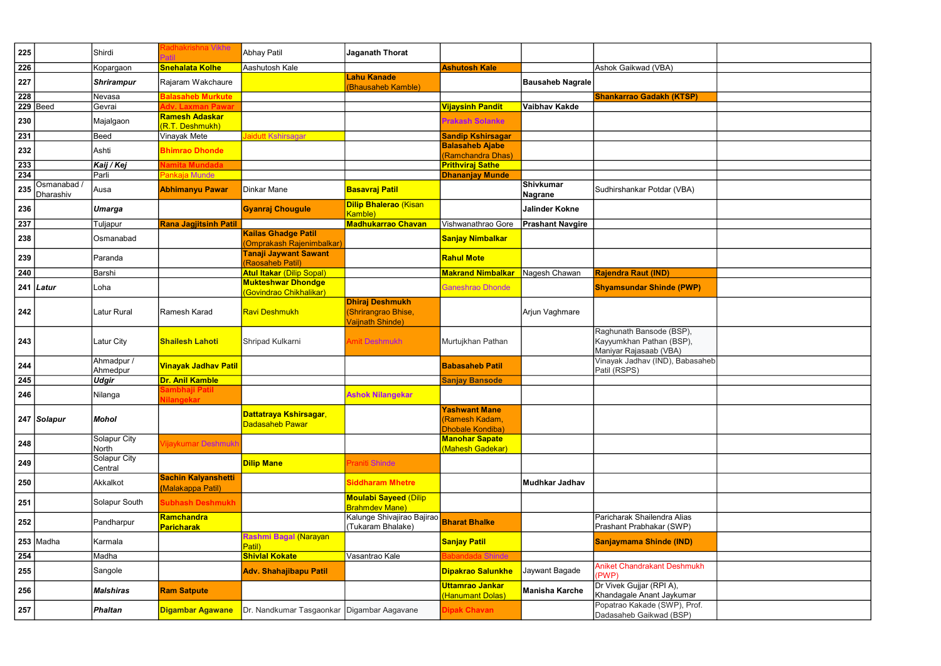| 225 |                          | Shirdi                         | Radhakrishna Vikhe                              | Abhay Patil                                      | <b>Jaganath Thorat</b>                                            |                                                            |                             |                                                                                |
|-----|--------------------------|--------------------------------|-------------------------------------------------|--------------------------------------------------|-------------------------------------------------------------------|------------------------------------------------------------|-----------------------------|--------------------------------------------------------------------------------|
| 226 |                          | Kopargaon                      | <b>Snehalata Kolhe</b>                          | Aashutosh Kale                                   |                                                                   | <b>Ashutosh Kale</b>                                       |                             | Ashok Gaikwad (VBA)                                                            |
| 227 |                          | <b>Shrirampur</b>              | Rajaram Wakchaure                               |                                                  | <b>Lahu Kanade</b><br>(Bhausaheb Kamble)                          |                                                            | <b>Bausaheb Nagrale</b>     |                                                                                |
| 228 |                          | Nevasa                         | <b>Balasaheb Murkute</b>                        |                                                  |                                                                   |                                                            |                             | <b>Shankarrao Gadakh (KTSP)</b>                                                |
|     | $229$ Beed               | Gevrai                         | <b>Adv. Laxman Pawa</b> i                       |                                                  |                                                                   | Vijaysinh Pandit                                           | <b>Vaibhav Kakde</b>        |                                                                                |
| 230 |                          | Majalgaon                      | <b>Ramesh Adaskar</b><br>(R.T. Deshmukh)        |                                                  |                                                                   | <b>Prakash Solanke</b>                                     |                             |                                                                                |
| 231 |                          | Beed                           | Vinayak Mete                                    | laidutt Kshirsagar                               |                                                                   | <b>Sandip Kshirsagar</b>                                   |                             |                                                                                |
| 232 |                          | Ashti                          | <b>Bhimrao Dhonde</b>                           |                                                  |                                                                   | <b>Balasaheb Ajabe</b><br>(Ramchandra Dhas)                |                             |                                                                                |
| 233 |                          | Kaij / Kej                     | <b>Jamita Mundada</b>                           |                                                  |                                                                   | <b>Prithviraj Sathe</b>                                    |                             |                                                                                |
| 234 |                          | Parli                          | Pankaja Munde                                   |                                                  |                                                                   | <b>Dhananjay Munde</b>                                     |                             |                                                                                |
| 235 | Osmanabad /<br>Dharashiv | Ausa                           | <b>Abhimanyu Pawar</b>                          | Dinkar Mane                                      | <u> Basavraj Patil</u>                                            |                                                            | <b>Shivkumar</b><br>Nagrane | Sudhirshankar Potdar (VBA)                                                     |
| 236 |                          | Umarga                         |                                                 | <b>Gyanraj Chougule</b>                          | <b>Dilip Bhalerao (Kisan</b><br>Kamble)                           |                                                            | <b>Jalinder Kokne</b>       |                                                                                |
| 237 |                          | Tuljapur                       | <b>Rana Jagjitsinh Patil</b>                    |                                                  | <b>Madhukarrao Chavan</b>                                         | Vishwanathrao Gore                                         | <b>Prashant Navgire</b>     |                                                                                |
| 238 |                          | Osmanabad                      |                                                 | Kailas Ghadge Patil<br>(Omprakash Rajenimbalkar) |                                                                   | <mark>Sanjay Nimbalkar</mark>                              |                             |                                                                                |
| 239 |                          | Paranda                        |                                                 | <b>Tanaji Jaywant Sawant</b><br>(Raosaheb Patil) |                                                                   | <b>Rahul Mote</b>                                          |                             |                                                                                |
| 240 |                          | Barshi                         |                                                 | <b>Atul Itakar (Dilip Sopal)</b>                 |                                                                   | <b>Makrand Nimbalkar</b>                                   | Nagesh Chawan               | <b>Rajendra Raut (IND)</b>                                                     |
|     |                          |                                |                                                 | <b>Mukteshwar Dhondge</b>                        |                                                                   |                                                            |                             |                                                                                |
|     | 241   Latur              | Loha                           |                                                 | Govindrao Chikhalikar)                           |                                                                   | Ganeshrao Dhonde                                           |                             | <b>Shyamsundar Shinde (PWP)</b>                                                |
| 242 |                          | Latur Rural                    | Ramesh Karad                                    | <b>Ravi Deshmukh</b>                             | <b>Dhiraj Deshmukh</b><br>(Shrirangrao Bhise,<br>Vaijnath Shinde) |                                                            | Arjun Vaghmare              |                                                                                |
| 243 |                          | Latur City                     | <b>Shailesh Lahoti</b>                          | Shripad Kulkarni                                 | Amit Deshmukh                                                     | Murtujkhan Pathan                                          |                             | Raghunath Bansode (BSP),<br>Kayyumkhan Pathan (BSP),<br>Maniyar Rajasaab (VBA) |
| 244 |                          | Ahmadpur /<br>Ahmedpur         | <b>Vinayak Jadhav Patil</b>                     |                                                  |                                                                   | <b>Babasaheb Patil</b>                                     |                             | Vinayak Jadhav (IND), Babasaheb<br>Patil (RSPS)                                |
| 245 |                          | <b>Udgir</b>                   | Dr. Anil Kamble                                 |                                                  |                                                                   | <b>Sanjay Bansode</b>                                      |                             |                                                                                |
| 246 |                          | Nilanga                        | Sambhaji Patil<br>lilangekar                    |                                                  | <b>Ashok Nilangekar</b>                                           |                                                            |                             |                                                                                |
|     | 247 Solapur              | <b>Mohol</b>                   |                                                 | Dattatraya Kshirsagar,<br><b>Dadasaheb Pawar</b> |                                                                   | <b>Yashwant Mane</b><br>(Ramesh Kadam,<br>Dhobale Kondiba) |                             |                                                                                |
| 248 |                          | Solapur City<br>North          | <b>/ijaykumar Deshmukh</b>                      |                                                  |                                                                   | <b>Manohar Sapate</b><br>(Mahesh Gadekar)                  |                             |                                                                                |
| 249 |                          | <b>Solapur City</b><br>Central |                                                 | <b>Dilip Mane</b>                                | Praniti Shinde                                                    |                                                            |                             |                                                                                |
| 250 |                          | Akkalkot                       | <b>Sachin Kalyanshetti</b><br>(Malakappa Patil) |                                                  | <b>Siddharam Mhetre</b>                                           |                                                            | <b>Mudhkar Jadhav</b>       |                                                                                |
| 251 |                          | Solapur South                  | Subhash Deshmukh                                |                                                  | <b>Moulabi Sayeed (Dilip</b><br><b>Brahmdev Mane)</b>             |                                                            |                             |                                                                                |
| 252 |                          | Pandharpur                     | Ramchandra<br><b>Paricharak</b>                 |                                                  | Kalunge Shivajirao Bajirao<br>(Tukaram Bhalake)                   | <b>Bharat Bhalke</b>                                       |                             | Paricharak Shailendra Alias<br>Prashant Prabhakar (SWP)                        |
|     | $253$ Madha              | Karmala                        |                                                 | Rashmi Bagal (Narayan<br>Patil)                  |                                                                   | <mark>Sanjay Patil</mark>                                  |                             | Sanjaymama Shinde (IND)                                                        |
| 254 |                          | Madha                          |                                                 | <b>Shivlal Kokate</b>                            | Vasantrao Kale                                                    | abandada Shinde                                            |                             |                                                                                |
| 255 |                          | Sangole                        |                                                 | <b>Adv. Shahajibapu Patil</b>                    |                                                                   | <b>Dipakrao Salunkhe</b>                                   | Jaywant Bagade              | <b>Aniket Chandrakant Deshmukh</b><br>(PWP)                                    |
| 256 |                          | <b>Malshiras</b>               | <b>Ram Satpute</b>                              |                                                  |                                                                   | <b>Uttamrao Jankar</b><br>(Hanumant Dolas)                 | <b>Manisha Karche</b>       | Dr Vivek Gujjar (RPI A),<br>Khandagale Anant Jaykumar                          |
| 257 |                          | <b>Phaltan</b>                 | <b>Digambar Agawane</b>                         | Dr. Nandkumar Tasgaonkar Digambar Aagavane       |                                                                   | <b>Dipak Chavan</b>                                        |                             | Popatrao Kakade (SWP), Prof.<br>Dadasaheb Gaikwad (BSP)                        |

| $\overline{b}$ |  |
|----------------|--|
|                |  |
|                |  |
|                |  |
|                |  |
|                |  |
|                |  |
|                |  |
|                |  |
|                |  |
|                |  |
|                |  |
|                |  |
|                |  |
|                |  |
|                |  |
|                |  |